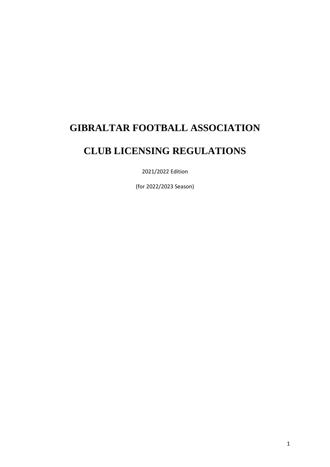## **GIBRALTAR FOOTBALL ASSOCIATION**

# **CLUB LICENSING REGULATIONS**

2021/2022 Edition

(for 2022/2023 Season)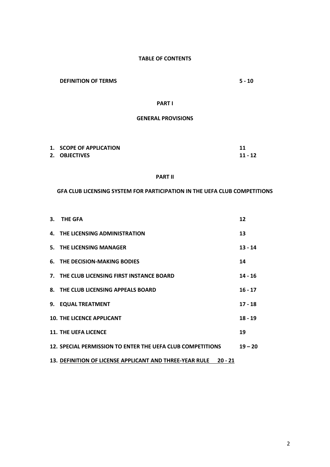# 2

## **TABLE OF CONTENTS**

**DEFINITION OF TERMS 5 - 10**

## **PART I**

## **GENERAL PROVISIONS**

| 1. SCOPE OF APPLICATION |           |
|-------------------------|-----------|
| 2. OBJECTIVES           | $11 - 12$ |

## **PART II**

#### **GFA CLUB LICENSING SYSTEM FOR PARTICIPATION IN THE UEFA CLUB COMPETITIONS**

| 3. THE GFA                                                                  | 12        |
|-----------------------------------------------------------------------------|-----------|
| 4. THE LICENSING ADMINISTRATION                                             | 13        |
| 5. THE LICENSING MANAGER                                                    | $13 - 14$ |
| <b>6. THE DECISION-MAKING BODIES</b>                                        | 14        |
| 7. THE CLUB LICENSING FIRST INSTANCE BOARD                                  | $14 - 16$ |
| 8. THE CLUB LICENSING APPEALS BOARD                                         | $16 - 17$ |
| 9. EQUAL TREATMENT                                                          | $17 - 18$ |
| <b>10. THE LICENCE APPLICANT</b>                                            | $18 - 19$ |
| <b>11. THE UEFA LICENCE</b>                                                 | 19        |
| 12. SPECIAL PERMISSION TO ENTER THE UEFA CLUB COMPETITIONS                  | $19 - 20$ |
| <b>13. DEFINITION OF LICENSE APPLICANT AND THREE-YEAR RULE</b><br>$20 - 21$ |           |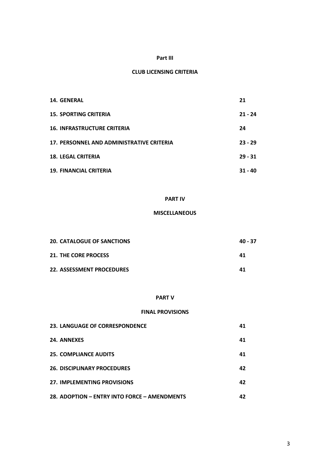#### **Part III**

## **CLUB LICENSING CRITERIA**

| <b>14. GENERAL</b>                        | 21        |
|-------------------------------------------|-----------|
| <b>15. SPORTING CRITERIA</b>              | $21 - 24$ |
| <b>16. INFRASTRUCTURE CRITERIA</b>        | 24        |
| 17. PERSONNEL AND ADMINISTRATIVE CRITERIA | $23 - 29$ |
| <b>18. LEGAL CRITERIA</b>                 | $29 - 31$ |
| <b>19. FINANCIAL CRITERIA</b>             | $31 - 40$ |

#### **PART IV**

## **MISCELLANEOUS**

| <b>20. CATALOGUE OF SANCTIONS</b> | 40 - 37 |
|-----------------------------------|---------|
| <b>21. THE CORE PROCESS</b>       | 41      |
| <b>22. ASSESSMENT PROCEDURES</b>  | 41      |

#### **PART V**

## **FINAL PROVISIONS**

| <b>23. LANGUAGE OF CORRESPONDENCE</b>        | 41 |
|----------------------------------------------|----|
| <b>24. ANNEXES</b>                           | 41 |
| <b>25. COMPLIANCE AUDITS</b>                 | 41 |
| <b>26. DISCIPLINARY PROCEDURES</b>           | 42 |
| 27. IMPLEMENTING PROVISIONS                  | 42 |
| 28. ADOPTION – ENTRY INTO FORCE – AMENDMENTS | 42 |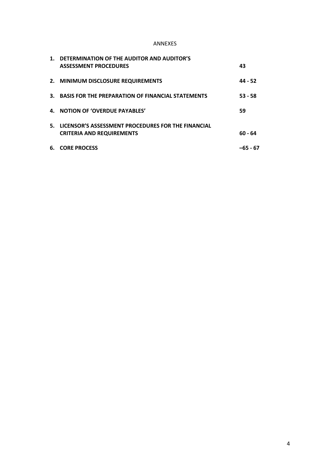#### ANNEXES

| $\mathbf{1}$ . | DETERMINATION OF THE AUDITOR AND AUDITOR'S<br><b>ASSESSMENT PROCEDURES</b>                | 43        |
|----------------|-------------------------------------------------------------------------------------------|-----------|
|                | 2. MINIMUM DISCLOSURE REQUIREMENTS                                                        | 44 - 52   |
| 3.             | <b>BASIS FOR THE PREPARATION OF FINANCIAL STATEMENTS</b>                                  | $53 - 58$ |
|                | 4. NOTION OF 'OVERDUE PAYABLES'                                                           | 59        |
|                | 5. LICENSOR'S ASSESSMENT PROCEDURES FOR THE FINANCIAL<br><b>CRITERIA AND REQUIREMENTS</b> | $60 - 64$ |
|                | 6. CORE PROCESS                                                                           | -65 - 67  |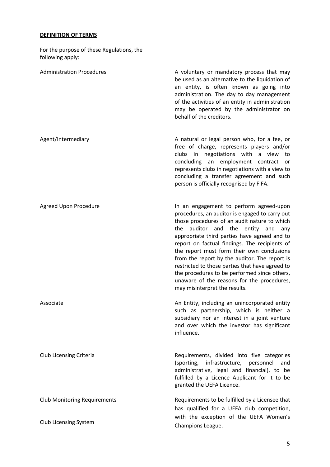## **DEFINITION OF TERMS**

For the purpose of these Regulations, the following apply:

| <b>Administration Procedures</b>    | A voluntary or mandatory process that may<br>be used as an alternative to the liquidation of<br>an entity, is often known as going into<br>administration. The day to day management<br>of the activities of an entity in administration<br>may be operated by the administrator on<br>behalf of the creditors.                                                                                                                                                                                                                                                      |
|-------------------------------------|----------------------------------------------------------------------------------------------------------------------------------------------------------------------------------------------------------------------------------------------------------------------------------------------------------------------------------------------------------------------------------------------------------------------------------------------------------------------------------------------------------------------------------------------------------------------|
| Agent/Intermediary                  | A natural or legal person who, for a fee, or<br>free of charge, represents players and/or<br>clubs in negotiations with a view<br>to<br>concluding an employment contract<br>- or<br>represents clubs in negotiations with a view to<br>concluding a transfer agreement and such<br>person is officially recognised by FIFA.                                                                                                                                                                                                                                         |
| <b>Agreed Upon Procedure</b>        | In an engagement to perform agreed-upon<br>procedures, an auditor is engaged to carry out<br>those procedures of an audit nature to which<br>the auditor and the entity and<br>any<br>appropriate third parties have agreed and to<br>report on factual findings. The recipients of<br>the report must form their own conclusions<br>from the report by the auditor. The report is<br>restricted to those parties that have agreed to<br>the procedures to be performed since others,<br>unaware of the reasons for the procedures,<br>may misinterpret the results. |
| Associate                           | An Entity, including an unincorporated entity<br>such as partnership, which is neither a<br>subsidiary nor an interest in a joint venture<br>and over which the investor has significant<br>influence.                                                                                                                                                                                                                                                                                                                                                               |
| Club Licensing Criteria             | Requirements, divided into five categories<br>infrastructure,<br>(sporting,<br>personnel<br>and<br>administrative, legal and financial), to be<br>fulfilled by a Licence Applicant for it to be<br>granted the UEFA Licence.                                                                                                                                                                                                                                                                                                                                         |
| <b>Club Monitoring Requirements</b> | Requirements to be fulfilled by a Licensee that<br>has qualified for a UEFA club competition,                                                                                                                                                                                                                                                                                                                                                                                                                                                                        |
| Club Licensing System               | with the exception of the UEFA Women's<br>Champions League.                                                                                                                                                                                                                                                                                                                                                                                                                                                                                                          |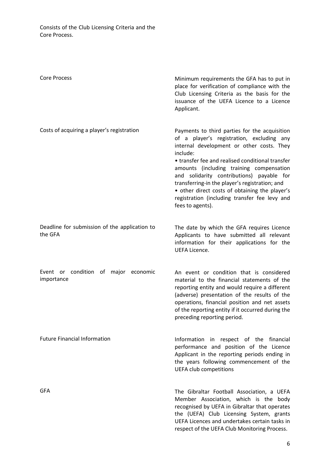Consists of the Club Licensing Criteria and the Core Process.

| <b>Core Process</b>                                      | Minimum requirements the GFA has to put in<br>place for verification of compliance with the<br>Club Licensing Criteria as the basis for the<br>issuance of the UEFA Licence to a Licence<br>Applicant.                                                                                                                                                                                                                                                                    |
|----------------------------------------------------------|---------------------------------------------------------------------------------------------------------------------------------------------------------------------------------------------------------------------------------------------------------------------------------------------------------------------------------------------------------------------------------------------------------------------------------------------------------------------------|
| Costs of acquiring a player's registration               | Payments to third parties for the acquisition<br>of a player's registration, excluding any<br>internal development or other costs. They<br>include:<br>• transfer fee and realised conditional transfer<br>amounts (including training compensation<br>and solidarity contributions) payable for<br>transferring-in the player's registration; and<br>• other direct costs of obtaining the player's<br>registration (including transfer fee levy and<br>fees to agents). |
| Deadline for submission of the application to<br>the GFA | The date by which the GFA requires Licence<br>Applicants to have submitted all relevant<br>information for their applications for the<br><b>UEFA Licence.</b>                                                                                                                                                                                                                                                                                                             |
| Event or condition of major economic<br>importance       | An event or condition that is considered<br>material to the financial statements of the<br>reporting entity and would require a different<br>(adverse) presentation of the results of the<br>operations, financial position and net assets<br>of the reporting entity if it occurred during the<br>preceding reporting period.                                                                                                                                            |
| <b>Future Financial Information</b>                      | Information in respect of the financial<br>performance and position of the Licence<br>Applicant in the reporting periods ending in<br>the years following commencement of the<br><b>UEFA club competitions</b>                                                                                                                                                                                                                                                            |
| <b>GFA</b>                                               | The Gibraltar Football Association, a UEFA<br>Member Association, which is the body<br>recognised by UEFA in Gibraltar that operates<br>the (UEFA) Club Licensing System, grants<br>UEFA Licences and undertakes certain tasks in<br>respect of the UEFA Club Monitoring Process.                                                                                                                                                                                         |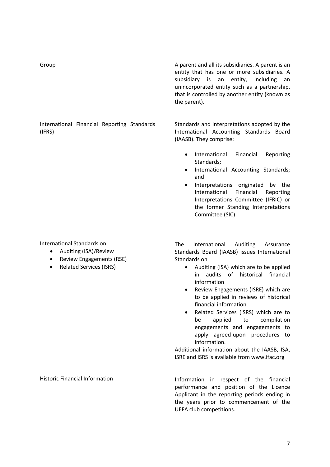A parent and all its subsidiaries. A parent is an entity that has one or more subsidiaries. A subsidiary is an entity, including an unincorporated entity such as a partnership, that is controlled by another entity (known as the parent).

Standards and Interpretations adopted by the International Accounting Standards Board (IAASB). They comprise:

- International Financial Reporting Standards;
- International Accounting Standards; and
- Interpretations originated by the International Financial Reporting Interpretations Committee (IFRIC) or the former Standing Interpretations Committee (SIC).

The International Auditing Assurance Standards Board (IAASB) issues International Standards on

- Auditing (ISA) which are to be applied in audits of historical financial information
- Review Engagements (ISRE) which are to be applied in reviews of historical financial information.
- Related Services (ISRS) which are to be applied to compilation engagements and engagements to apply agreed-upon procedures to information.

Additional information about the IAASB, ISA, ISRE and ISRS is available from www.ifac.org

Information in respect of the financial performance and position of the Licence Applicant in the reporting periods ending in the years prior to commencement of the UEFA club competitions.

Group

International Financial Reporting Standards (IFRS)

International Standards on:

- Auditing (ISA)/Review
- Review Engagements (RSE)
- Related Services (ISRS)

#### Historic Financial Information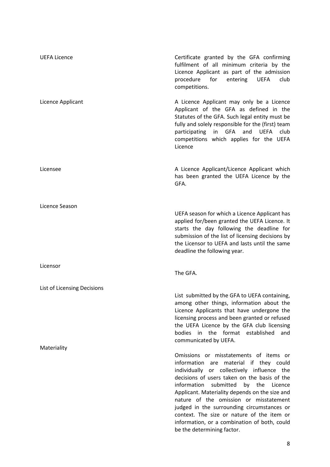| <b>UEFA Licence</b>         | Certificate granted by the GFA confirming<br>fulfilment of all minimum criteria by the<br>Licence Applicant as part of the admission<br>procedure<br>for<br>entering<br>club<br><b>UEFA</b><br>competitions.                                                                                                                                                                                                                                                                                       |
|-----------------------------|----------------------------------------------------------------------------------------------------------------------------------------------------------------------------------------------------------------------------------------------------------------------------------------------------------------------------------------------------------------------------------------------------------------------------------------------------------------------------------------------------|
| Licence Applicant           | A Licence Applicant may only be a Licence<br>Applicant of the GFA as defined in the<br>Statutes of the GFA. Such legal entity must be<br>fully and solely responsible for the (first) team<br>in GFA<br>participating<br>and UEFA<br>club<br>competitions which applies for the UEFA<br>Licence                                                                                                                                                                                                    |
| Licensee                    | A Licence Applicant/Licence Applicant which<br>has been granted the UEFA Licence by the<br>GFA.                                                                                                                                                                                                                                                                                                                                                                                                    |
| Licence Season              | UEFA season for which a Licence Applicant has<br>applied for/been granted the UEFA Licence. It<br>starts the day following the deadline for<br>submission of the list of licensing decisions by<br>the Licensor to UEFA and lasts until the same<br>deadline the following year.                                                                                                                                                                                                                   |
| Licensor                    | The GFA.                                                                                                                                                                                                                                                                                                                                                                                                                                                                                           |
| List of Licensing Decisions |                                                                                                                                                                                                                                                                                                                                                                                                                                                                                                    |
|                             | List submitted by the GFA to UEFA containing,<br>among other things, information about the<br>Licence Applicants that have undergone the<br>licensing process and been granted or refused<br>the UEFA Licence by the GFA club licensing<br>bodies in the format established<br>and<br>communicated by UEFA.                                                                                                                                                                                        |
| Materiality                 | Omissions or misstatements of items or<br>information are<br>material if they could<br>individually or collectively influence the<br>decisions of users taken on the basis of the<br>submitted by the Licence<br>information<br>Applicant. Materiality depends on the size and<br>nature of the omission or misstatement<br>judged in the surrounding circumstances or<br>context. The size or nature of the item or<br>information, or a combination of both, could<br>be the determining factor. |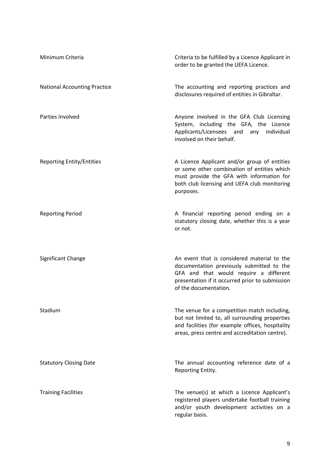| Minimum Criteria                    | Criteria to be fulfilled by a Licence Applicant in<br>order to be granted the UEFA Licence.                                                                                                                    |
|-------------------------------------|----------------------------------------------------------------------------------------------------------------------------------------------------------------------------------------------------------------|
| <b>National Accounting Practice</b> | The accounting and reporting practices and<br>disclosures required of entities in Gibraltar.                                                                                                                   |
| Parties Involved                    | Anyone involved in the GFA Club Licensing<br>System, including the GFA, the Licence<br>Applicants/Licensees and<br>any individual<br>involved on their behalf.                                                 |
| <b>Reporting Entity/Entities</b>    | A Licence Applicant and/or group of entities<br>or some other combination of entities which<br>must provide the GFA with information for<br>both club licensing and UEFA club monitoring<br>purposes.          |
| <b>Reporting Period</b>             | A financial reporting period ending on a<br>statutory closing date, whether this is a year<br>or not.                                                                                                          |
| Significant Change                  | An event that is considered material to the<br>documentation previously submitted to the<br>GFA and that would require a different<br>presentation if it occurred prior to submission<br>of the documentation. |
| Stadium                             | The venue for a competition match including,<br>but not limited to, all surrounding properties<br>and facilities (for example offices, hospitality<br>areas, press centre and accreditation centre).           |
| <b>Statutory Closing Date</b>       | The annual accounting reference date of a<br>Reporting Entity.                                                                                                                                                 |
| <b>Training Facilities</b>          | The venue(s) at which a Licence Applicant's<br>registered players undertake football training<br>and/or youth development activities on a<br>regular basis.                                                    |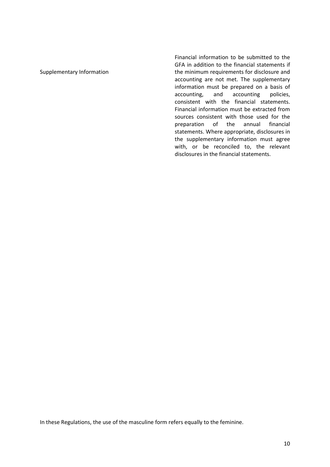#### Supplementary Information

Financial information to be submitted to the GFA in addition to the financial statements if the minimum requirements for disclosure and accounting are not met. The supplementary information must be prepared on a basis of accounting, and accounting policies, consistent with the financial statements. Financial information must be extracted from sources consistent with those used for the preparation of the annual financial statements. Where appropriate, disclosures in the supplementary information must agree with, or be reconciled to, the relevant disclosures in the financial statements.

In these Regulations, the use of the masculine form refers equally to the feminine.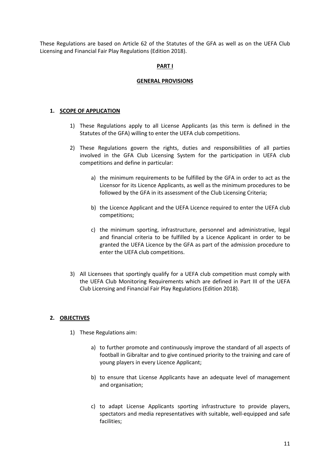These Regulations are based on Article 62 of the Statutes of the GFA as well as on the UEFA Club Licensing and Financial Fair Play Regulations (Edition 2018).

#### **PART I**

#### **GENERAL PROVISIONS**

#### **1. SCOPE OF APPLICATION**

- 1) These Regulations apply to all License Applicants (as this term is defined in the Statutes of the GFA) willing to enter the UEFA club competitions.
- 2) These Regulations govern the rights, duties and responsibilities of all parties involved in the GFA Club Licensing System for the participation in UEFA club competitions and define in particular:
	- a) the minimum requirements to be fulfilled by the GFA in order to act as the Licensor for its Licence Applicants, as well as the minimum procedures to be followed by the GFA in its assessment of the Club Licensing Criteria;
	- b) the Licence Applicant and the UEFA Licence required to enter the UEFA club competitions;
	- c) the minimum sporting, infrastructure, personnel and administrative, legal and financial criteria to be fulfilled by a Licence Applicant in order to be granted the UEFA Licence by the GFA as part of the admission procedure to enter the UEFA club competitions.
- 3) All Licensees that sportingly qualify for a UEFA club competition must comply with the UEFA Club Monitoring Requirements which are defined in Part III of the UEFA Club Licensing and Financial Fair Play Regulations (Edition 2018).

#### **2. OBJECTIVES**

- 1) These Regulations aim:
	- a) to further promote and continuously improve the standard of all aspects of football in Gibraltar and to give continued priority to the training and care of young players in every Licence Applicant;
	- b) to ensure that License Applicants have an adequate level of management and organisation;
	- c) to adapt License Applicants sporting infrastructure to provide players, spectators and media representatives with suitable, well-equipped and safe facilities;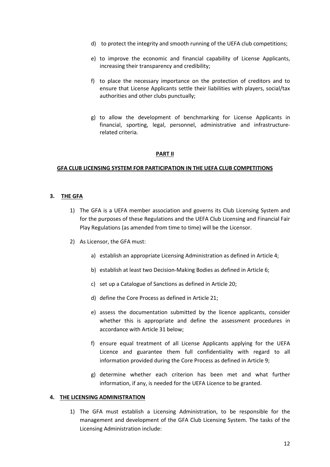- d) to protect the integrity and smooth running of the UEFA club competitions;
- e) to improve the economic and financial capability of License Applicants, increasing their transparency and credibility;
- f) to place the necessary importance on the protection of creditors and to ensure that License Applicants settle their liabilities with players, social/tax authorities and other clubs punctually;
- g) to allow the development of benchmarking for License Applicants in financial, sporting, legal, personnel, administrative and infrastructurerelated criteria.

#### **PART II**

#### **GFA CLUB LICENSING SYSTEM FOR PARTICIPATION IN THE UEFA CLUB COMPETITIONS**

#### **3. THE GFA**

- 1) The GFA is a UEFA member association and governs its Club Licensing System and for the purposes of these Regulations and the UEFA Club Licensing and Financial Fair Play Regulations (as amended from time to time) will be the Licensor.
- 2) As Licensor, the GFA must:
	- a) establish an appropriate Licensing Administration as defined in Article 4;
	- b) establish at least two Decision-Making Bodies as defined in Article 6;
	- c) set up a Catalogue of Sanctions as defined in Article 20;
	- d) define the Core Process as defined in Article 21;
	- e) assess the documentation submitted by the licence applicants, consider whether this is appropriate and define the assessment procedures in accordance with Article 31 below;
	- f) ensure equal treatment of all License Applicants applying for the UEFA Licence and guarantee them full confidentiality with regard to all information provided during the Core Process as defined in Article 9;
	- g) determine whether each criterion has been met and what further information, if any, is needed for the UEFA Licence to be granted.

#### **4. THE LICENSING ADMINISTRATION**

1) The GFA must establish a Licensing Administration, to be responsible for the management and development of the GFA Club Licensing System. The tasks of the Licensing Administration include: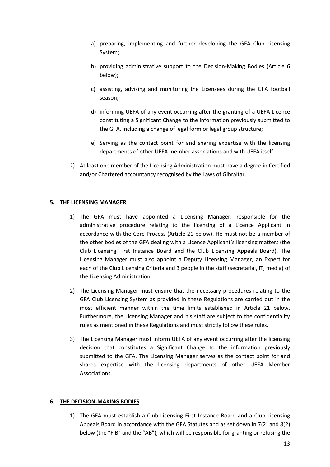- a) preparing, implementing and further developing the GFA Club Licensing System;
- b) providing administrative support to the Decision-Making Bodies (Article 6 below);
- c) assisting, advising and monitoring the Licensees during the GFA football season;
- d) informing UEFA of any event occurring after the granting of a UEFA Licence constituting a Significant Change to the information previously submitted to the GFA, including a change of legal form or legal group structure;
- e) Serving as the contact point for and sharing expertise with the licensing departments of other UEFA member associations and with UEFA itself.
- 2) At least one member of the Licensing Administration must have a degree in Certified and/or Chartered accountancy recognised by the Laws of Gibraltar.

## **5. THE LICENSING MANAGER**

- 1) The GFA must have appointed a Licensing Manager, responsible for the administrative procedure relating to the licensing of a Licence Applicant in accordance with the Core Process (Article 21 below). He must not be a member of the other bodies of the GFA dealing with a Licence Applicant's licensing matters (the Club Licensing First Instance Board and the Club Licensing Appeals Board). The Licensing Manager must also appoint a Deputy Licensing Manager, an Expert for each of the Club Licensing Criteria and 3 people in the staff (secretarial, IT, media) of the Licensing Administration.
- 2) The Licensing Manager must ensure that the necessary procedures relating to the GFA Club Licensing System as provided in these Regulations are carried out in the most efficient manner within the time limits established in Article 21 below. Furthermore, the Licensing Manager and his staff are subject to the confidentiality rules as mentioned in these Regulations and must strictly follow these rules.
- 3) The Licensing Manager must inform UEFA of any event occurring after the licensing decision that constitutes a Significant Change to the information previously submitted to the GFA. The Licensing Manager serves as the contact point for and shares expertise with the licensing departments of other UEFA Member Associations.

#### **6. THE DECISION-MAKING BODIES**

1) The GFA must establish a Club Licensing First Instance Board and a Club Licensing Appeals Board in accordance with the GFA Statutes and as set down in 7(2) and 8(2) below (the "FIB" and the "AB"), which will be responsible for granting or refusing the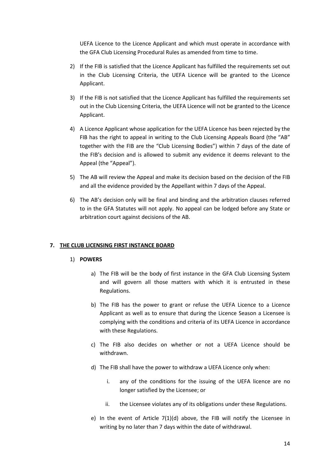UEFA Licence to the Licence Applicant and which must operate in accordance with the GFA Club Licensing Procedural Rules as amended from time to time.

- 2) If the FIB is satisfied that the Licence Applicant has fulfilled the requirements set out in the Club Licensing Criteria, the UEFA Licence will be granted to the Licence Applicant.
- 3) If the FIB is not satisfied that the Licence Applicant has fulfilled the requirements set out in the Club Licensing Criteria, the UEFA Licence will not be granted to the Licence Applicant.
- 4) A Licence Applicant whose application for the UEFA Licence has been rejected by the FIB has the right to appeal in writing to the Club Licensing Appeals Board (the "AB" together with the FIB are the "Club Licensing Bodies") within 7 days of the date of the FIB's decision and is allowed to submit any evidence it deems relevant to the Appeal (the "Appeal").
- 5) The AB will review the Appeal and make its decision based on the decision of the FIB and all the evidence provided by the Appellant within 7 days of the Appeal.
- 6) The AB's decision only will be final and binding and the arbitration clauses referred to in the GFA Statutes will not apply. No appeal can be lodged before any State or arbitration court against decisions of the AB.

#### **7. THE CLUB LICENSING FIRST INSTANCE BOARD**

#### 1) **POWERS**

- a) The FIB will be the body of first instance in the GFA Club Licensing System and will govern all those matters with which it is entrusted in these Regulations.
- b) The FIB has the power to grant or refuse the UEFA Licence to a Licence Applicant as well as to ensure that during the Licence Season a Licensee is complying with the conditions and criteria of its UEFA Licence in accordance with these Regulations.
- c) The FIB also decides on whether or not a UEFA Licence should be withdrawn.
- d) The FIB shall have the power to withdraw a UEFA Licence only when:
	- i. any of the conditions for the issuing of the UEFA licence are no longer satisfied by the Licensee; or
	- ii. the Licensee violates any of its obligations under these Regulations.
- e) In the event of Article  $7(1)(d)$  above, the FIB will notify the Licensee in writing by no later than 7 days within the date of withdrawal.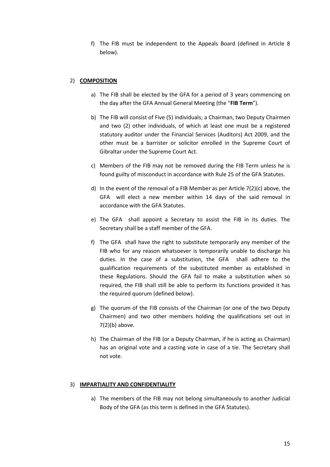f) The FIB must be independent to the Appeals Board (defined in Article 8 below).

## 2) **COMPOSITION**

- a) The FIB shall be elected by the GFA for a period of 3 years commencing on the day after the GFA Annual General Meeting (the "**FIB Term**").
- b) The FIB will consist of Five (5) individuals; a Chairman, two Deputy Chairmen and two (2) other individuals, of which at least one must be a registered statutory auditor under the Financial Services (Auditors) Act 2009, and the other must be a barrister or solicitor enrolled in the Supreme Court of Gibraltar under the Supreme Court Act.
- c) Members of the FIB may not be removed during the FIB Term unless he is found guilty of misconduct in accordance with Rule 25 of the GFA Statutes.
- d) In the event of the removal of a FIB Member as per Article 7(2)(c) above, the GFA will elect a new member within 14 days of the said removal in accordance with the GFA Statutes.
- e) The GFA shall appoint a Secretary to assist the FIB in its duties. The Secretary shall be a staff member of the GFA.
- f) The GFA shall have the right to substitute temporarily any member of the FIB who for any reason whatsoever is temporarily unable to discharge his duties. In the case of a substitution, the GFA shall adhere to the qualification requirements of the substituted member as established in these Regulations. Should the GFA fail to make a substitution when so required, the FIB shall still be able to perform its functions provided it has the required quorum (defined below).
- g) The quorum of the FIB consists of the Chairman (or one of the two Deputy Chairmen) and two other members holding the qualifications set out in 7(2)(b) above.
- h) The Chairman of the FIB (or a Deputy Chairman, if he is acting as Chairman) has an original vote and a casting vote in case of a tie. The Secretary shall not vote.

#### 3) **IMPARTIALITY AND CONFIDENTIALITY**

a) The members of the FIB may not belong simultaneously to another Judicial Body of the GFA (as this term is defined in the GFA Statutes).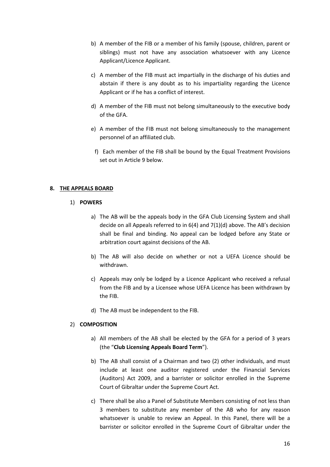- b) A member of the FIB or a member of his family (spouse, children, parent or siblings) must not have any association whatsoever with any Licence Applicant/Licence Applicant.
- c) A member of the FIB must act impartially in the discharge of his duties and abstain if there is any doubt as to his impartiality regarding the Licence Applicant or if he has a conflict of interest.
- d) A member of the FIB must not belong simultaneously to the executive body of the GFA.
- e) A member of the FIB must not belong simultaneously to the management personnel of an affiliated club.
	- f) Each member of the FIB shall be bound by the Equal Treatment Provisions set out in Article 9 below.

#### **8. THE APPEALS BOARD**

#### 1) **POWERS**

- a) The AB will be the appeals body in the GFA Club Licensing System and shall decide on all Appeals referred to in 6(4) and 7(1)(d) above. The AB's decision shall be final and binding. No appeal can be lodged before any State or arbitration court against decisions of the AB.
- b) The AB will also decide on whether or not a UEFA Licence should be withdrawn.
- c) Appeals may only be lodged by a Licence Applicant who received a refusal from the FIB and by a Licensee whose UEFA Licence has been withdrawn by the FIB.
- d) The AB must be independent to the FIB.

#### 2) **COMPOSITION**

- a) All members of the AB shall be elected by the GFA for a period of 3 years (the "**Club Licensing Appeals Board Term**").
- b) The AB shall consist of a Chairman and two (2) other individuals, and must include at least one auditor registered under the Financial Services (Auditors) Act 2009, and a barrister or solicitor enrolled in the Supreme Court of Gibraltar under the Supreme Court Act.
- c) There shall be also a Panel of Substitute Members consisting of not less than 3 members to substitute any member of the AB who for any reason whatsoever is unable to review an Appeal. In this Panel, there will be a barrister or solicitor enrolled in the Supreme Court of Gibraltar under the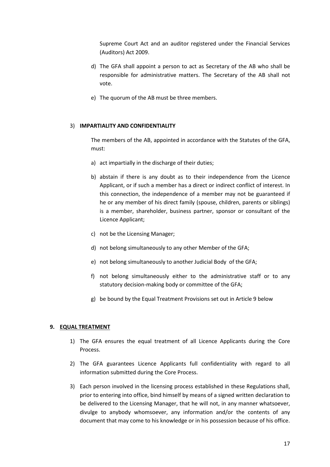Supreme Court Act and an auditor registered under the Financial Services (Auditors) Act 2009.

- d) The GFA shall appoint a person to act as Secretary of the AB who shall be responsible for administrative matters. The Secretary of the AB shall not vote.
- e) The quorum of the AB must be three members.

#### 3) **IMPARTIALITY AND CONFIDENTIALITY**

The members of the AB, appointed in accordance with the Statutes of the GFA, must:

- a) act impartially in the discharge of their duties;
- b) abstain if there is any doubt as to their independence from the Licence Applicant, or if such a member has a direct or indirect conflict of interest. In this connection, the independence of a member may not be guaranteed if he or any member of his direct family (spouse, children, parents or siblings) is a member, shareholder, business partner, sponsor or consultant of the Licence Applicant;
- c) not be the Licensing Manager;
- d) not belong simultaneously to any other Member of the GFA;
- e) not belong simultaneously to another Judicial Body of the GFA;
- f) not belong simultaneously either to the administrative staff or to any statutory decision-making body or committee of the GFA;
- g) be bound by the Equal Treatment Provisions set out in Article 9 below

#### **9. EQUAL TREATMENT**

- 1) The GFA ensures the equal treatment of all Licence Applicants during the Core Process.
- 2) The GFA guarantees Licence Applicants full confidentiality with regard to all information submitted during the Core Process.
- 3) Each person involved in the licensing process established in these Regulations shall, prior to entering into office, bind himself by means of a signed written declaration to be delivered to the Licensing Manager, that he will not, in any manner whatsoever, divulge to anybody whomsoever, any information and/or the contents of any document that may come to his knowledge or in his possession because of his office.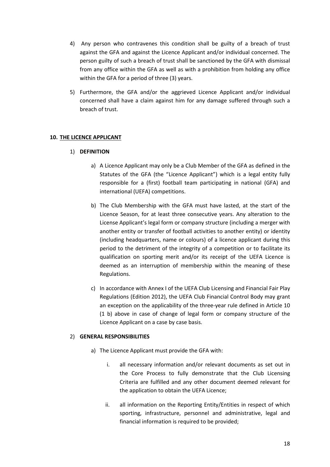- 4) Any person who contravenes this condition shall be guilty of a breach of trust against the GFA and against the Licence Applicant and/or individual concerned. The person guilty of such a breach of trust shall be sanctioned by the GFA with dismissal from any office within the GFA as well as with a prohibition from holding any office within the GFA for a period of three (3) years.
- 5) Furthermore, the GFA and/or the aggrieved Licence Applicant and/or individual concerned shall have a claim against him for any damage suffered through such a breach of trust.

## **10. THE LICENCE APPLICANT**

## 1) **DEFINITION**

- a) A Licence Applicant may only be a Club Member of the GFA as defined in the Statutes of the GFA (the "Licence Applicant") which is a legal entity fully responsible for a (first) football team participating in national (GFA) and international (UEFA) competitions.
- b) The Club Membership with the GFA must have lasted, at the start of the Licence Season, for at least three consecutive years. Any alteration to the License Applicant's legal form or company structure (including a merger with another entity or transfer of football activities to another entity) or identity (including headquarters, name or colours) of a licence applicant during this period to the detriment of the integrity of a competition or to facilitate its qualification on sporting merit and/or its receipt of the UEFA Licence is deemed as an interruption of membership within the meaning of these Regulations.
- c) In accordance with Annex I of the UEFA Club Licensing and Financial Fair Play Regulations (Edition 2012), the UEFA Club Financial Control Body may grant an exception on the applicability of the three-year rule defined in Article 10 (1 b) above in case of change of legal form or company structure of the Licence Applicant on a case by case basis.

#### 2) **GENERAL RESPONSIBILITIES**

- a) The Licence Applicant must provide the GFA with:
	- i. all necessary information and/or relevant documents as set out in the Core Process to fully demonstrate that the Club Licensing Criteria are fulfilled and any other document deemed relevant for the application to obtain the UEFA Licence;
	- ii. all information on the Reporting Entity/Entities in respect of which sporting, infrastructure, personnel and administrative, legal and financial information is required to be provided;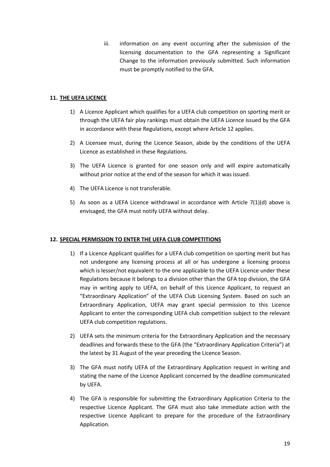iii. information on any event occurring after the submission of the licensing documentation to the GFA representing a Significant Change to the information previously submitted. Such information must be promptly notified to the GFA.

## **11. THE UEFA LICENCE**

- 1) A Licence Applicant which qualifies for a UEFA club competition on sporting merit or through the UEFA fair play rankings must obtain the UEFA Licence issued by the GFA in accordance with these Regulations, except where Article 12 applies.
- 2) A Licensee must, during the Licence Season, abide by the conditions of the UEFA Licence as established in these Regulations.
- 3) The UEFA Licence is granted for one season only and will expire automatically without prior notice at the end of the season for which it was issued.
- 4) The UEFA Licence is not transferable.
- 5) As soon as a UEFA Licence withdrawal in accordance with Article  $7(1)(d)$  above is envisaged, the GFA must notify UEFA without delay.

#### **12. SPECIAL PERMISSION TO ENTER THE UEFA CLUB COMPETITIONS**

- 1) If a Licence Applicant qualifies for a UEFA club competition on sporting merit but has not undergone any licensing process at all or has undergone a licensing process which is lesser/not equivalent to the one applicable to the UEFA Licence under these Regulations because it belongs to a division other than the GFA top division, the GFA may in writing apply to UEFA, on behalf of this Licence Applicant, to request an "Extraordinary Application" of the UEFA Club Licensing System. Based on such an Extraordinary Application, UEFA may grant special permission to this Licence Applicant to enter the corresponding UEFA club competition subject to the relevant UEFA club competition regulations.
- 2) UEFA sets the minimum criteria for the Extraordinary Application and the necessary deadlines and forwards these to the GFA (the "Extraordinary Application Criteria") at the latest by 31 August of the year preceding the Licence Season.
- 3) The GFA must notify UEFA of the Extraordinary Application request in writing and stating the name of the Licence Applicant concerned by the deadline communicated by UEFA.
- 4) The GFA is responsible for submitting the Extraordinary Application Criteria to the respective Licence Applicant. The GFA must also take immediate action with the respective Licence Applicant to prepare for the procedure of the Extraordinary Application.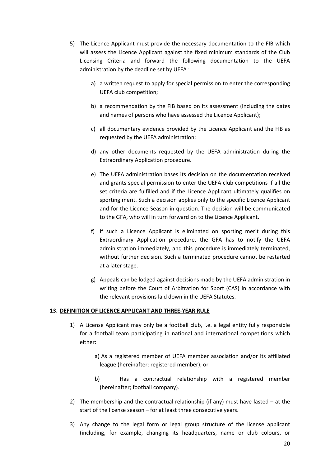- 5) The Licence Applicant must provide the necessary documentation to the FIB which will assess the Licence Applicant against the fixed minimum standards of the Club Licensing Criteria and forward the following documentation to the UEFA administration by the deadline set by UEFA :
	- a) a written request to apply for special permission to enter the corresponding UEFA club competition;
	- b) a recommendation by the FIB based on its assessment (including the dates and names of persons who have assessed the Licence Applicant);
	- c) all documentary evidence provided by the Licence Applicant and the FIB as requested by the UEFA administration;
	- d) any other documents requested by the UEFA administration during the Extraordinary Application procedure.
	- e) The UEFA administration bases its decision on the documentation received and grants special permission to enter the UEFA club competitions if all the set criteria are fulfilled and if the Licence Applicant ultimately qualifies on sporting merit. Such a decision applies only to the specific Licence Applicant and for the Licence Season in question. The decision will be communicated to the GFA, who will in turn forward on to the Licence Applicant.
	- f) If such a Licence Applicant is eliminated on sporting merit during this Extraordinary Application procedure, the GFA has to notify the UEFA administration immediately, and this procedure is immediately terminated, without further decision. Such a terminated procedure cannot be restarted at a later stage.
	- g) Appeals can be lodged against decisions made by the UEFA administration in writing before the Court of Arbitration for Sport (CAS) in accordance with the relevant provisions laid down in the UEFA Statutes.

#### **13. DEFINITION OF LICENCE APPLICANT AND THREE-YEAR RULE**

- 1) A License Applicant may only be a football club, i.e. a legal entity fully responsible for a football team participating in national and international competitions which either:
	- a) As a registered member of UEFA member association and/or its affiliated league (hereinafter: registered member); or
	- b) Has a contractual relationship with a registered member (hereinafter; football company).
- 2) The membership and the contractual relationship (if any) must have lasted at the start of the license season – for at least three consecutive years.
- 3) Any change to the legal form or legal group structure of the license applicant (including, for example, changing its headquarters, name or club colours, or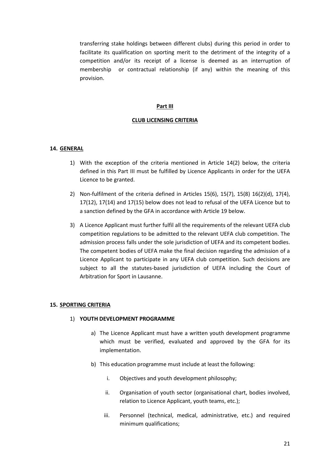transferring stake holdings between different clubs) during this period in order to facilitate its qualification on sporting merit to the detriment of the integrity of a competition and/or its receipt of a license is deemed as an interruption of membership or contractual relationship (if any) within the meaning of this provision.

#### **Part III**

## **CLUB LICENSING CRITERIA**

## **14. GENERAL**

- 1) With the exception of the criteria mentioned in Article 14(2) below, the criteria defined in this Part III must be fulfilled by Licence Applicants in order for the UEFA Licence to be granted.
- 2) Non-fulfilment of the criteria defined in Articles 15(6), 15(7), 15(8) 16(2)(d), 17(4), 17(12), 17(14) and 17(15) below does not lead to refusal of the UEFA Licence but to a sanction defined by the GFA in accordance with Article 19 below.
- 3) A Licence Applicant must further fulfil all the requirements of the relevant UEFA club competition regulations to be admitted to the relevant UEFA club competition. The admission process falls under the sole jurisdiction of UEFA and its competent bodies. The competent bodies of UEFA make the final decision regarding the admission of a Licence Applicant to participate in any UEFA club competition. Such decisions are subject to all the statutes-based jurisdiction of UEFA including the Court of Arbitration for Sport in Lausanne.

#### **15. SPORTING CRITERIA**

#### 1) **YOUTH DEVELOPMENT PROGRAMME**

- a) The Licence Applicant must have a written youth development programme which must be verified, evaluated and approved by the GFA for its implementation.
- b) This education programme must include at least the following:
	- i. Objectives and youth development philosophy;
	- ii. Organisation of youth sector (organisational chart, bodies involved, relation to Licence Applicant, youth teams, etc.);
	- iii. Personnel (technical, medical, administrative, etc.) and required minimum qualifications;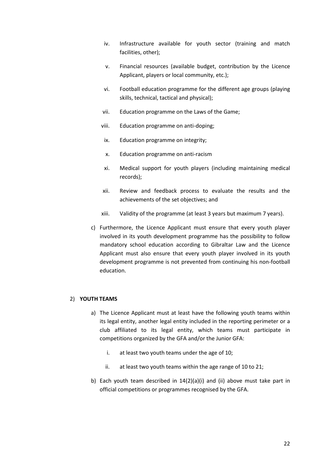- iv. Infrastructure available for youth sector (training and match facilities, other);
- v. Financial resources (available budget, contribution by the Licence Applicant, players or local community, etc.);
- vi. Football education programme for the different age groups (playing skills, technical, tactical and physical);
- vii. Education programme on the Laws of the Game;
- viii. Education programme on anti-doping;
- ix. Education programme on integrity;
- x. Education programme on anti-racism
- xi. Medical support for youth players (including maintaining medical records);
- xii. Review and feedback process to evaluate the results and the achievements of the set objectives; and
- xiii. Validity of the programme (at least 3 years but maximum 7 years).
- c) Furthermore, the Licence Applicant must ensure that every youth player involved in its youth development programme has the possibility to follow mandatory school education according to Gibraltar Law and the Licence Applicant must also ensure that every youth player involved in its youth development programme is not prevented from continuing his non-football education.

#### 2) **YOUTH TEAMS**

- a) The Licence Applicant must at least have the following youth teams within its legal entity, another legal entity included in the reporting perimeter or a club affiliated to its legal entity, which teams must participate in competitions organized by the GFA and/or the Junior GFA:
	- i. at least two youth teams under the age of 10;
	- ii. at least two youth teams within the age range of 10 to 21;
- b) Each youth team described in  $14(2)(a)(i)$  and (ii) above must take part in official competitions or programmes recognised by the GFA.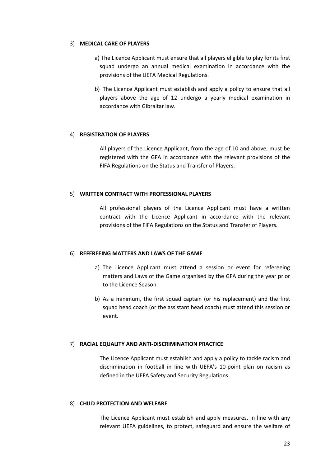#### 3) **MEDICAL CARE OF PLAYERS**

- a) The Licence Applicant must ensure that all players eligible to play for its first squad undergo an annual medical examination in accordance with the provisions of the UEFA Medical Regulations.
- b) The Licence Applicant must establish and apply a policy to ensure that all players above the age of 12 undergo a yearly medical examination in accordance with Gibraltar law.

#### 4) **REGISTRATION OF PLAYERS**

All players of the Licence Applicant, from the age of 10 and above, must be registered with the GFA in accordance with the relevant provisions of the FIFA Regulations on the Status and Transfer of Players.

## 5) **WRITTEN CONTRACT WITH PROFESSIONAL PLAYERS**

All professional players of the Licence Applicant must have a written contract with the Licence Applicant in accordance with the relevant provisions of the FIFA Regulations on the Status and Transfer of Players.

#### 6) **REFEREEING MATTERS AND LAWS OF THE GAME**

- a) The Licence Applicant must attend a session or event for refereeing matters and Laws of the Game organised by the GFA during the year prior to the Licence Season.
- b) As a minimum, the first squad captain (or his replacement) and the first squad head coach (or the assistant head coach) must attend this session or event.

#### 7) **RACIAL EQUALITY AND ANTI-DISCRIMINATION PRACTICE**

The Licence Applicant must establish and apply a policy to tackle racism and discrimination in football in line with UEFA's 10-point plan on racism as defined in the UEFA Safety and Security Regulations.

#### 8) **CHILD PROTECTION AND WELFARE**

The Licence Applicant must establish and apply measures, in line with any relevant UEFA guidelines, to protect, safeguard and ensure the welfare of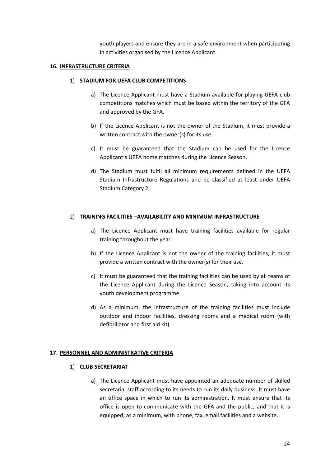youth players and ensure they are in a safe environment when participating in activities organised by the Licence Applicant.

#### **16. INFRASTRUCTURE CRITERIA**

#### 1) **STADIUM FOR UEFA CLUB COMPETITIONS**

- a) The Licence Applicant must have a Stadium available for playing UEFA club competitions matches which must be based within the territory of the GFA and approved by the GFA.
- b) If the Licence Applicant is not the owner of the Stadium, it must provide a written contract with the owner(s) for its use.
- c) It must be guaranteed that the Stadium can be used for the Licence Applicant's UEFA home matches during the Licence Season.
- d) The Stadium must fulfil all minimum requirements defined in the UEFA Stadium Infrastructure Regulations and be classified at least under UEFA Stadium Category 2.

#### 2) **TRAINING FACILITIES –AVAILABILITY AND MINIMUM INFRASTRUCTURE**

- a) The Licence Applicant must have training facilities available for regular training throughout the year.
- b) If the Licence Applicant is not the owner of the training facilities, it must provide a written contract with the owner(s) for their use.
- c) It must be guaranteed that the training facilities can be used by all teams of the Licence Applicant during the Licence Season, taking into account its youth development programme.
- d) As a minimum, the infrastructure of the training facilities must include outdoor and indoor facilities, dressing rooms and a medical room (with defibrillator and first aid kit).

#### **17. PERSONNEL AND ADMINISTRATIVE CRITERIA**

#### 1) **CLUB SECRETARIAT**

a) The Licence Applicant must have appointed an adequate number of skilled secretarial staff according to its needs to run its daily business. It must have an office space in which to run its administration. It must ensure that its office is open to communicate with the GFA and the public, and that it is equipped, as a minimum, with phone, fax, email facilities and a website.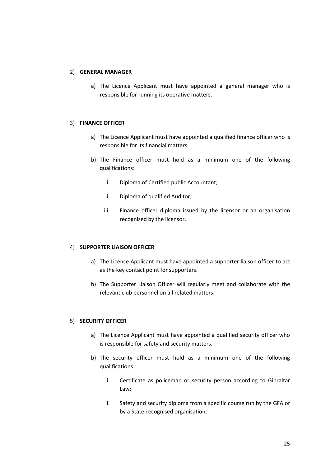#### 2) **GENERAL MANAGER**

a) The Licence Applicant must have appointed a general manager who is responsible for running its operative matters.

#### 3) **FINANCE OFFICER**

- a) The Licence Applicant must have appointed a qualified finance officer who is responsible for its financial matters.
- b) The Finance officer must hold as a minimum one of the following qualifications:
	- i. Diploma of Certified public Accountant;
	- ii. Diploma of qualified Auditor;
	- iii. Finance officer diploma issued by the licensor or an organisation recognised by the licensor.

## 4) **SUPPORTER LIAISON OFFICER**

- a) The Licence Applicant must have appointed a supporter liaison officer to act as the key contact point for supporters.
- b) The Supporter Liaison Officer will regularly meet and collaborate with the relevant club personnel on all related matters.

## 5) **SECURITY OFFICER**

- a) The Licence Applicant must have appointed a qualified security officer who is responsible for safety and security matters.
- b) The security officer must hold as a minimum one of the following qualifications :
	- i. Certificate as policeman or security person according to Gibraltar Law;
	- ii. Safety and security diploma from a specific course run by the GFA or by a State-recognised organisation;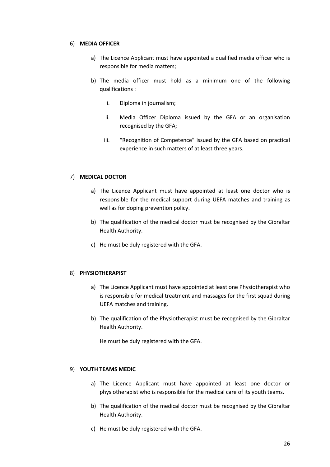#### 6) **MEDIA OFFICER**

- a) The Licence Applicant must have appointed a qualified media officer who is responsible for media matters;
- b) The media officer must hold as a minimum one of the following qualifications :
	- i. Diploma in journalism;
	- ii. Media Officer Diploma issued by the GFA or an organisation recognised by the GFA;
	- iii. "Recognition of Competence" issued by the GFA based on practical experience in such matters of at least three years.

## 7) **MEDICAL DOCTOR**

- a) The Licence Applicant must have appointed at least one doctor who is responsible for the medical support during UEFA matches and training as well as for doping prevention policy.
- b) The qualification of the medical doctor must be recognised by the Gibraltar Health Authority.
- c) He must be duly registered with the GFA.

#### 8) **PHYSIOTHERAPIST**

- a) The Licence Applicant must have appointed at least one Physiotherapist who is responsible for medical treatment and massages for the first squad during UEFA matches and training.
- b) The qualification of the Physiotherapist must be recognised by the Gibraltar Health Authority.

He must be duly registered with the GFA.

## 9) **YOUTH TEAMS MEDIC**

- a) The Licence Applicant must have appointed at least one doctor or physiotherapist who is responsible for the medical care of its youth teams.
- b) The qualification of the medical doctor must be recognised by the Gibraltar Health Authority.
- c) He must be duly registered with the GFA.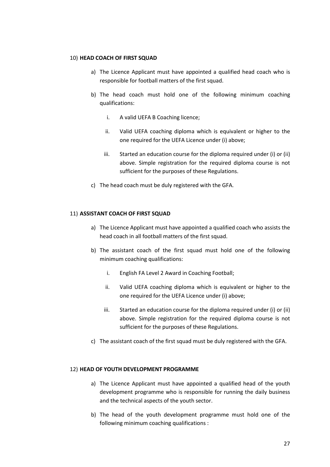#### 10) **HEAD COACH OF FIRST SQUAD**

- a) The Licence Applicant must have appointed a qualified head coach who is responsible for football matters of the first squad.
- b) The head coach must hold one of the following minimum coaching qualifications:
	- i. A valid UEFA B Coaching licence;
	- ii. Valid UEFA coaching diploma which is equivalent or higher to the one required for the UEFA Licence under (i) above;
	- iii. Started an education course for the diploma required under (i) or (ii) above. Simple registration for the required diploma course is not sufficient for the purposes of these Regulations.
- c) The head coach must be duly registered with the GFA.

#### 11) **ASSISTANT COACH OF FIRST SQUAD**

- a) The Licence Applicant must have appointed a qualified coach who assists the head coach in all football matters of the first squad.
- b) The assistant coach of the first squad must hold one of the following minimum coaching qualifications:
	- i. English FA Level 2 Award in Coaching Football;
	- ii. Valid UEFA coaching diploma which is equivalent or higher to the one required for the UEFA Licence under (i) above;
	- iii. Started an education course for the diploma required under (i) or (ii) above. Simple registration for the required diploma course is not sufficient for the purposes of these Regulations.
- c) The assistant coach of the first squad must be duly registered with the GFA.

#### 12) **HEAD OF YOUTH DEVELOPMENT PROGRAMME**

- a) The Licence Applicant must have appointed a qualified head of the youth development programme who is responsible for running the daily business and the technical aspects of the youth sector.
- b) The head of the youth development programme must hold one of the following minimum coaching qualifications :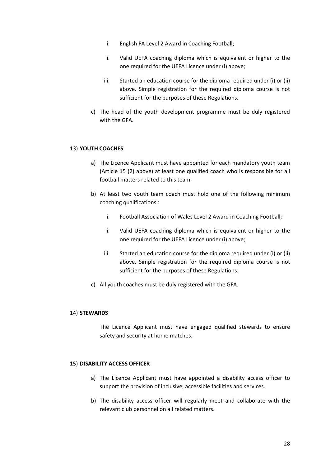- i. English FA Level 2 Award in Coaching Football;
- ii. Valid UEFA coaching diploma which is equivalent or higher to the one required for the UEFA Licence under (i) above;
- iii. Started an education course for the diploma required under (i) or (ii) above. Simple registration for the required diploma course is not sufficient for the purposes of these Regulations.
- c) The head of the youth development programme must be duly registered with the GFA.

## 13) **YOUTH COACHES**

- a) The Licence Applicant must have appointed for each mandatory youth team (Article 15 (2) above) at least one qualified coach who is responsible for all football matters related to this team.
- b) At least two youth team coach must hold one of the following minimum coaching qualifications :
	- i. Football Association of Wales Level 2 Award in Coaching Football;
	- ii. Valid UEFA coaching diploma which is equivalent or higher to the one required for the UEFA Licence under (i) above;
	- iii. Started an education course for the diploma required under (i) or (ii) above. Simple registration for the required diploma course is not sufficient for the purposes of these Regulations.
- c) All youth coaches must be duly registered with the GFA.

#### 14) **STEWARDS**

The Licence Applicant must have engaged qualified stewards to ensure safety and security at home matches.

#### 15) **DISABILITY ACCESS OFFICER**

- a) The Licence Applicant must have appointed a disability access officer to support the provision of inclusive, accessible facilities and services.
- b) The disability access officer will regularly meet and collaborate with the relevant club personnel on all related matters.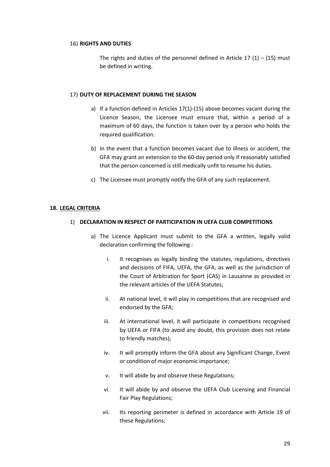#### 16) **RIGHTS AND DUTIES**

The rights and duties of the personnel defined in Article  $17 (1) - (15)$  must be defined in writing.

#### 17) **DUTY OF REPLACEMENT DURING THE SEASON**

- a) If a function defined in Articles 17(1)-(15) above becomes vacant during the Licence Season, the Licensee must ensure that, within a period of a maximum of 60 days, the function is taken over by a person who holds the required qualification.
- b) In the event that a function becomes vacant due to illness or accident, the GFA may grant an extension to the 60-day period only if reasonably satisfied that the person concerned is still medically unfit to resume his duties.
- c) The Licensee must promptly notify the GFA of any such replacement.

## **18. LEGAL CRITERIA**

## 1) **DECLARATION IN RESPECT OF PARTICIPATION IN UEFA CLUB COMPETITIONS**

- a) The Licence Applicant must submit to the GFA a written, legally valid declaration confirming the following :
	- i. It recognises as legally binding the statutes, regulations, directives and decisions of FIFA, UEFA, the GFA, as well as the jurisdiction of the Court of Arbitration for Sport (CAS) in Lausanne as provided in the relevant articles of the UEFA Statutes;
	- ii. At national level, it will play in competitions that are recognised and endorsed by the GFA;
	- iii. At international level, it will participate in competitions recognised by UEFA or FIFA (to avoid any doubt, this provision does not relate to friendly matches);
	- iv. It will promptly inform the GFA about any Significant Change, Event or condition of major economic importance;
	- v. It will abide by and observe these Regulations;
	- vi. It will abide by and observe the UEFA Club Licensing and Financial Fair Play Regulations;
	- vii. Its reporting perimeter is defined in accordance with Article 19 of these Regulations;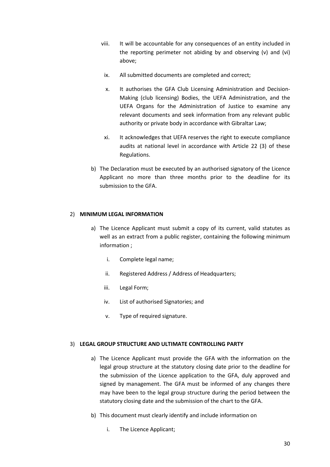- viii. It will be accountable for any consequences of an entity included in the reporting perimeter not abiding by and observing (v) and (vi) above;
- ix. All submitted documents are completed and correct;
- x. It authorises the GFA Club Licensing Administration and Decision-Making (club licensing) Bodies, the UEFA Administration, and the UEFA Organs for the Administration of Justice to examine any relevant documents and seek information from any relevant public authority or private body in accordance with Gibraltar Law;
- xi. It acknowledges that UEFA reserves the right to execute compliance audits at national level in accordance with Article 22 (3) of these Regulations.
- b) The Declaration must be executed by an authorised signatory of the Licence Applicant no more than three months prior to the deadline for its submission to the GFA.

## 2) **MINIMUM LEGAL INFORMATION**

- a) The Licence Applicant must submit a copy of its current, valid statutes as well as an extract from a public register, containing the following minimum information ;
	- i. Complete legal name;
	- ii. Registered Address / Address of Headquarters;
	- iii. Legal Form;
	- iv. List of authorised Signatories; and
	- v. Type of required signature.

#### 3) **LEGAL GROUP STRUCTURE AND ULTIMATE CONTROLLING PARTY**

- a) The Licence Applicant must provide the GFA with the information on the legal group structure at the statutory closing date prior to the deadline for the submission of the Licence application to the GFA, duly approved and signed by management. The GFA must be informed of any changes there may have been to the legal group structure during the period between the statutory closing date and the submission of the chart to the GFA.
- b) This document must clearly identify and include information on
	- i. The Licence Applicant;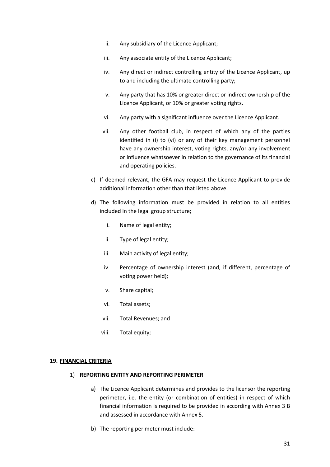- ii. Any subsidiary of the Licence Applicant;
- iii. Any associate entity of the Licence Applicant;
- iv. Any direct or indirect controlling entity of the Licence Applicant, up to and including the ultimate controlling party;
- v. Any party that has 10% or greater direct or indirect ownership of the Licence Applicant, or 10% or greater voting rights.
- vi. Any party with a significant influence over the Licence Applicant.
- vii. Any other football club, in respect of which any of the parties identified in (i) to (vi) or any of their key management personnel have any ownership interest, voting rights, any/or any involvement or influence whatsoever in relation to the governance of its financial and operating policies.
- c) If deemed relevant, the GFA may request the Licence Applicant to provide additional information other than that listed above.
- d) The following information must be provided in relation to all entities included in the legal group structure;
	- i. Name of legal entity;
	- ii. Type of legal entity;
	- iii. Main activity of legal entity;
	- iv. Percentage of ownership interest (and, if different, percentage of voting power held);
	- v. Share capital;
	- vi. Total assets;
	- vii. Total Revenues; and
	- viii. Total equity;

#### **19. FINANCIAL CRITERIA**

#### 1) **REPORTING ENTITY AND REPORTING PERIMETER**

- a) The Licence Applicant determines and provides to the licensor the reporting perimeter, i.e. the entity (or combination of entities) in respect of which financial information is required to be provided in according with Annex 3 B and assessed in accordance with Annex 5.
- b) The reporting perimeter must include: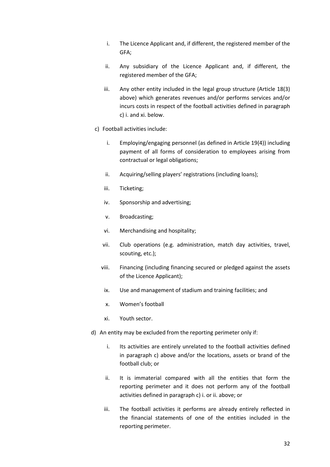- i. The Licence Applicant and, if different, the registered member of the GFA;
- ii. Any subsidiary of the Licence Applicant and, if different, the registered member of the GFA;
- iii. Any other entity included in the legal group structure (Article 18(3) above) which generates revenues and/or performs services and/or incurs costs in respect of the football activities defined in paragraph c) i. and xi. below.
- c) Football activities include:
	- i. Employing/engaging personnel (as defined in Article 19(4)) including payment of all forms of consideration to employees arising from contractual or legal obligations;
	- ii. Acquiring/selling players' registrations (including loans);
	- iii. Ticketing;
	- iv. Sponsorship and advertising;
	- v. Broadcasting;
	- vi. Merchandising and hospitality;
	- vii. Club operations (e.g. administration, match day activities, travel, scouting, etc.);
	- viii. Financing (including financing secured or pledged against the assets of the Licence Applicant);
	- ix. Use and management of stadium and training facilities; and
	- x. Women's football
	- xi. Youth sector.
- d) An entity may be excluded from the reporting perimeter only if:
	- i. Its activities are entirely unrelated to the football activities defined in paragraph c) above and/or the locations, assets or brand of the football club; or
	- ii. It is immaterial compared with all the entities that form the reporting perimeter and it does not perform any of the football activities defined in paragraph c) i. or ii. above; or
	- iii. The football activities it performs are already entirely reflected in the financial statements of one of the entities included in the reporting perimeter.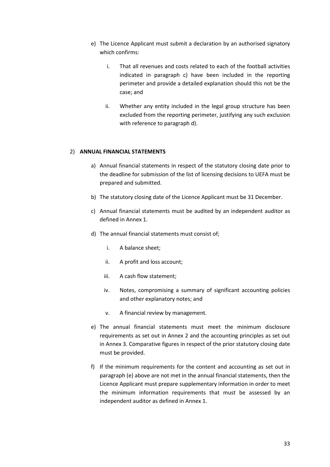- e) The Licence Applicant must submit a declaration by an authorised signatory which confirms:
	- i. That all revenues and costs related to each of the football activities indicated in paragraph c) have been included in the reporting perimeter and provide a detailed explanation should this not be the case; and
	- ii. Whether any entity included in the legal group structure has been excluded from the reporting perimeter, justifying any such exclusion with reference to paragraph d).

#### 2) **ANNUAL FINANCIAL STATEMENTS**

- a) Annual financial statements in respect of the statutory closing date prior to the deadline for submission of the list of licensing decisions to UEFA must be prepared and submitted.
- b) The statutory closing date of the Licence Applicant must be 31 December.
- c) Annual financial statements must be audited by an independent auditor as defined in Annex 1.
- d) The annual financial statements must consist of;
	- i. A balance sheet;
	- ii. A profit and loss account;
	- iii. A cash flow statement;
	- iv. Notes, compromising a summary of significant accounting policies and other explanatory notes; and
	- v. A financial review by management.
- e) The annual financial statements must meet the minimum disclosure requirements as set out in Annex 2 and the accounting principles as set out in Annex 3. Comparative figures in respect of the prior statutory closing date must be provided.
- f) If the minimum requirements for the content and accounting as set out in paragraph (e) above are not met in the annual financial statements, then the Licence Applicant must prepare supplementary information in order to meet the minimum information requirements that must be assessed by an independent auditor as defined in Annex 1.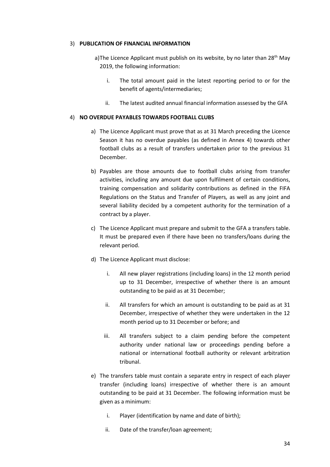#### 3) **PUBLICATION OF FINANCIAL INFORMATION**

- a)The Licence Applicant must publish on its website, by no later than 28<sup>th</sup> May 2019, the following information:
	- i. The total amount paid in the latest reporting period to or for the benefit of agents/intermediaries;
	- ii. The latest audited annual financial information assessed by the GFA

#### 4) **NO OVERDUE PAYABLES TOWARDS FOOTBALL CLUBS**

- a) The Licence Applicant must prove that as at 31 March preceding the Licence Season it has no overdue payables (as defined in Annex 4) towards other football clubs as a result of transfers undertaken prior to the previous 31 December.
- b) Payables are those amounts due to football clubs arising from transfer activities, including any amount due upon fulfilment of certain conditions, training compensation and solidarity contributions as defined in the FIFA Regulations on the Status and Transfer of Players*,* as well as any joint and several liability decided by a competent authority for the termination of a contract by a player.
- c) The Licence Applicant must prepare and submit to the GFA a transfers table. It must be prepared even if there have been no transfers/loans during the relevant period.
- d) The Licence Applicant must disclose:
	- i. All new player registrations (including loans) in the 12 month period up to 31 December, irrespective of whether there is an amount outstanding to be paid as at 31 December;
	- ii. All transfers for which an amount is outstanding to be paid as at 31 December, irrespective of whether they were undertaken in the 12 month period up to 31 December or before; and
	- iii. All transfers subject to a claim pending before the competent authority under national law or proceedings pending before a national or international football authority or relevant arbitration tribunal.
- e) The transfers table must contain a separate entry in respect of each player transfer (including loans) irrespective of whether there is an amount outstanding to be paid at 31 December. The following information must be given as a minimum:
	- i. Player (identification by name and date of birth);
	- ii. Date of the transfer/loan agreement;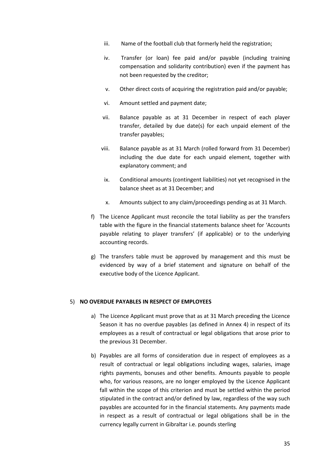- iii. Name of the football club that formerly held the registration;
- iv. Transfer (or loan) fee paid and/or payable (including training compensation and solidarity contribution) even if the payment has not been requested by the creditor;
- v. Other direct costs of acquiring the registration paid and/or payable;
- vi. Amount settled and payment date;
- vii. Balance payable as at 31 December in respect of each player transfer, detailed by due date(s) for each unpaid element of the transfer payables;
- viii. Balance payable as at 31 March (rolled forward from 31 December) including the due date for each unpaid element, together with explanatory comment; and
- ix. Conditional amounts (contingent liabilities) not yet recognised in the balance sheet as at 31 December; and
- x. Amounts subject to any claim/proceedings pending as at 31 March.
- f) The Licence Applicant must reconcile the total liability as per the transfers table with the figure in the financial statements balance sheet for 'Accounts payable relating to player transfers' (if applicable) or to the underlying accounting records.
- g) The transfers table must be approved by management and this must be evidenced by way of a brief statement and signature on behalf of the executive body of the Licence Applicant.

#### 5) **NO OVERDUE PAYABLES IN RESPECT OF EMPLOYEES**

- a) The Licence Applicant must prove that as at 31 March preceding the Licence Season it has no overdue payables (as defined in Annex 4) in respect of its employees as a result of contractual or legal obligations that arose prior to the previous 31 December.
- b) Payables are all forms of consideration due in respect of employees as a result of contractual or legal obligations including wages, salaries, image rights payments, bonuses and other benefits. Amounts payable to people who, for various reasons, are no longer employed by the Licence Applicant fall within the scope of this criterion and must be settled within the period stipulated in the contract and/or defined by law, regardless of the way such payables are accounted for in the financial statements. Any payments made in respect as a result of contractual or legal obligations shall be in the currency legally current in Gibraltar i.e. pounds sterling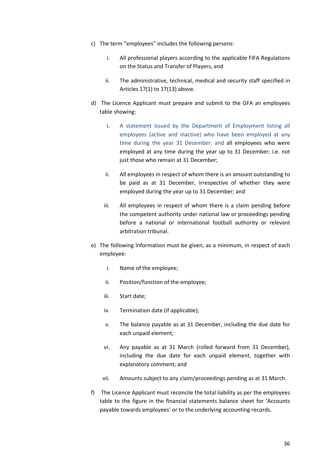- c) The term "employees" includes the following persons:
	- i. All professional players according to the applicable FIFA Regulations on the Status and Transfer of Players, and
	- ii. The administrative, technical, medical and security staff specified in Articles 17(1) to 17(13) above.
- d) The Licence Applicant must prepare and submit to the GFA an employees table showing:
	- i. A statement issued by the Department of Employment listing all employees (active and inactive) who have been employed at any time during the year 31 December; and all employees who were employed at any time during the year up to 31 December; i.e. not just those who remain at 31 December;
	- ii. All employees in respect of whom there is an amount outstanding to be paid as at 31 December, irrespective of whether they were employed during the year up to 31 December; and
	- iii. All employees in respect of whom there is a claim pending before the competent authority under national law or proceedings pending before a national or international football authority or relevant arbitration tribunal.
- e) The following information must be given, as a minimum, in respect of each employee:
	- i. Name of the employee;
	- ii. Position/function of the employee;
	- iii. Start date;
	- iv. Termination date (if applicable);
	- v. The balance payable as at 31 December, including the due date for each unpaid element;
	- vi. Any payable as at 31 March (rolled forward from 31 December), including the due date for each unpaid element, together with explanatory comment; and
	- vii. Amounts subject to any claim/proceedings pending as at 31 March.
- f) The Licence Applicant must reconcile the total liability as per the employees table to the figure in the financial statements balance sheet for 'Accounts payable towards employees' or to the underlying accounting records.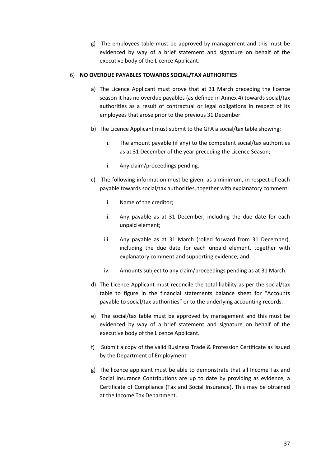g) The employees table must be approved by management and this must be evidenced by way of a brief statement and signature on behalf of the executive body of the Licence Applicant.

## 6) **NO OVERDUE PAYABLES TOWARDS SOCIAL/TAX AUTHORITIES**

- a) The Licence Applicant must prove that at 31 March preceding the licence season it has no overdue payables (as defined in Annex 4) towards social/tax authorities as a result of contractual or legal obligations in respect of its employees that arose prior to the previous 31 December.
- b) The Licence Applicant must submit to the GFA a social/tax table showing:
	- i. The amount payable (if any) to the competent social/tax authorities as at 31 December of the year preceding the Licence Season;
	- ii. Any claim/proceedings pending.
- c) The following information must be given, as a minimum, in respect of each payable towards social/tax authorities, together with explanatory comment:
	- i. Name of the creditor;
	- ii. Any payable as at 31 December, including the due date for each unpaid element;
	- iii. Any payable as at 31 March (rolled forward from 31 December), including the due date for each unpaid element, together with explanatory comment and supporting evidence; and
	- iv. Amounts subject to any claim/proceedings pending as at 31 March.
- d) The Licence Applicant must reconcile the total liability as per the social/tax table to figure in the financial statements balance sheet for "Accounts payable to social/tax authorities" or to the underlying accounting records.
- e) The social/tax table must be approved by management and this must be evidenced by way of a brief statement and signature on behalf of the executive body of the Licence Applicant.
- f) Submit a copy of the valid Business Trade & Profession Certificate as issued by the Department of Employment
- g) The licence applicant must be able to demonstrate that all Income Tax and Social Insurance Contributions are up to date by providing as evidence, a Certificate of Compliance (Tax and Social Insurance). This may be obtained at the Income Tax Department.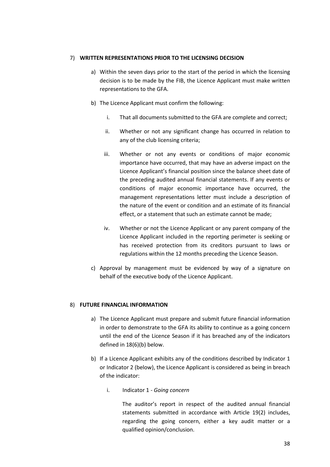#### 7) **WRITTEN REPRESENTATIONS PRIOR TO THE LICENSING DECISION**

- a) Within the seven days prior to the start of the period in which the licensing decision is to be made by the FIB, the Licence Applicant must make written representations to the GFA.
- b) The Licence Applicant must confirm the following:
	- i. That all documents submitted to the GFA are complete and correct;
	- ii. Whether or not any significant change has occurred in relation to any of the club licensing criteria;
	- iii. Whether or not any events or conditions of major economic importance have occurred, that may have an adverse impact on the Licence Applicant's financial position since the balance sheet date of the preceding audited annual financial statements. If any events or conditions of major economic importance have occurred, the management representations letter must include a description of the nature of the event or condition and an estimate of its financial effect, or a statement that such an estimate cannot be made;
	- iv. Whether or not the Licence Applicant or any parent company of the Licence Applicant included in the reporting perimeter is seeking or has received protection from its creditors pursuant to laws or regulations within the 12 months preceding the Licence Season.
- c) Approval by management must be evidenced by way of a signature on behalf of the executive body of the Licence Applicant.

## 8) **FUTURE FINANCIAL INFORMATION**

- a) The Licence Applicant must prepare and submit future financial information in order to demonstrate to the GFA its ability to continue as a going concern until the end of the Licence Season if it has breached any of the indicators defined in 18(6)(b) below.
- b) If a Licence Applicant exhibits any of the conditions described by Indicator 1 or Indicator 2 (below), the Licence Applicant is considered as being in breach of the indicator:
	- i. Indicator 1 *Going concern*

The auditor's report in respect of the audited annual financial statements submitted in accordance with Article 19(2) includes, regarding the going concern, either a key audit matter or a qualified opinion/conclusion.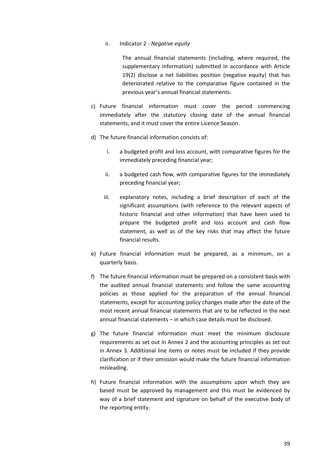ii. Indicator 2 - *Negative equity* 

The annual financial statements (including, where required, the supplementary information) submitted in accordance with Article 19(2) disclose a net liabilities position (negative equity) that has deteriorated relative to the comparative figure contained in the previous year's annual financial statements.

- c) Future financial information must cover the period commencing immediately after the statutory closing date of the annual financial statements, and it must cover the entire Licence Season.
- d) The future financial information consists of:
	- i. a budgeted profit and loss account, with comparative figures for the immediately preceding financial year;
	- ii. a budgeted cash flow, with comparative figures for the immediately preceding financial year;
	- iii. explanatory notes, including a brief description of each of the significant assumptions (with reference to the relevant aspects of historic financial and other information) that have been used to prepare the budgeted profit and loss account and cash flow statement, as well as of the key risks that may affect the future financial results.
- e) Future financial information must be prepared, as a minimum, on a quarterly basis.
- f) The future financial information must be prepared on a consistent basis with the audited annual financial statements and follow the same accounting policies as those applied for the preparation of the annual financial statements, except for accounting policy changes made after the date of the most recent annual financial statements that are to be reflected in the next annual financial statements – in which case details must be disclosed.
- g) The future financial information must meet the minimum disclosure requirements as set out in Annex 2 and the accounting principles as set out in Annex 3. Additional line items or notes must be included if they provide clarification or if their omission would make the future financial information misleading.
- h) Future financial information with the assumptions upon which they are based must be approved by management and this must be evidenced by way of a brief statement and signature on behalf of the executive body of the reporting entity.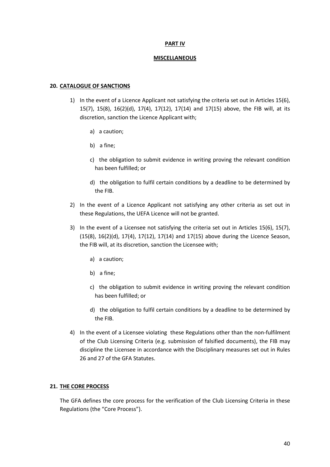#### **PART IV**

#### **MISCELLANEOUS**

#### **20. CATALOGUE OF SANCTIONS**

- 1) In the event of a Licence Applicant not satisfying the criteria set out in Articles 15(6), 15(7), 15(8), 16(2)(d), 17(4), 17(12), 17(14) and 17(15) above, the FIB will, at its discretion, sanction the Licence Applicant with;
	- a) a caution;
	- b) a fine;
	- c) the obligation to submit evidence in writing proving the relevant condition has been fulfilled; or
	- d) the obligation to fulfil certain conditions by a deadline to be determined by the FIB.
- 2) In the event of a Licence Applicant not satisfying any other criteria as set out in these Regulations, the UEFA Licence will not be granted.
- 3) In the event of a Licensee not satisfying the criteria set out in Articles 15(6), 15(7), (15(8), 16(2)(d), 17(4), 17(12), 17(14) and 17(15) above during the Licence Season, the FIB will, at its discretion, sanction the Licensee with;
	- a) a caution;
	- b) a fine;
	- c) the obligation to submit evidence in writing proving the relevant condition has been fulfilled; or
	- d) the obligation to fulfil certain conditions by a deadline to be determined by the FIB.
- 4) In the event of a Licensee violating these Regulations other than the non-fulfilment of the Club Licensing Criteria (e.g. submission of falsified documents), the FIB may discipline the Licensee in accordance with the Disciplinary measures set out in Rules 26 and 27 of the GFA Statutes.

#### **21. THE CORE PROCESS**

The GFA defines the core process for the verification of the Club Licensing Criteria in these Regulations (the "Core Process").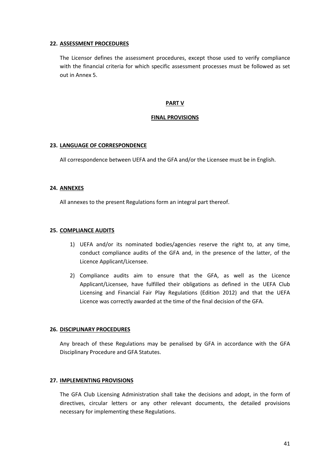#### **22. ASSESSMENT PROCEDURES**

The Licensor defines the assessment procedures, except those used to verify compliance with the financial criteria for which specific assessment processes must be followed as set out in Annex 5.

## **PART V**

#### **FINAL PROVISIONS**

## **23. LANGUAGE OF CORRESPONDENCE**

All correspondence between UEFA and the GFA and/or the Licensee must be in English.

#### **24. ANNEXES**

All annexes to the present Regulations form an integral part thereof.

#### **25. COMPLIANCE AUDITS**

- 1) UEFA and/or its nominated bodies/agencies reserve the right to, at any time, conduct compliance audits of the GFA and, in the presence of the latter, of the Licence Applicant/Licensee.
- 2) Compliance audits aim to ensure that the GFA, as well as the Licence Applicant/Licensee, have fulfilled their obligations as defined in the UEFA Club Licensing and Financial Fair Play Regulations (Edition 2012) and that the UEFA Licence was correctly awarded at the time of the final decision of the GFA.

#### **26. DISCIPLINARY PROCEDURES**

Any breach of these Regulations may be penalised by GFA in accordance with the GFA Disciplinary Procedure and GFA Statutes.

#### **27. IMPLEMENTING PROVISIONS**

The GFA Club Licensing Administration shall take the decisions and adopt, in the form of directives, circular letters or any other relevant documents, the detailed provisions necessary for implementing these Regulations.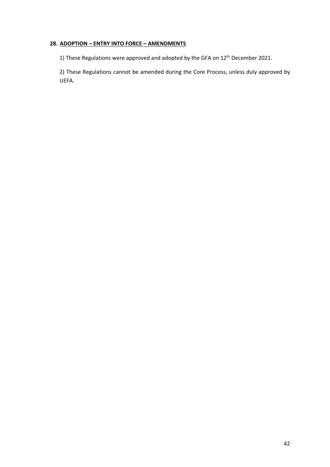## **28. ADOPTION – ENTRY INTO FORCE – AMENDMENTS**

1) These Regulations were approved and adopted by the GFA on 12<sup>th</sup> December 2021.

2) These Regulations cannot be amended during the Core Process, unless duly approved by UEFA.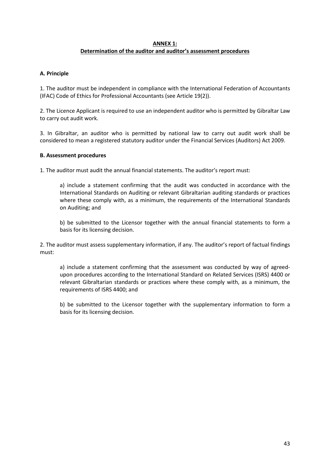#### **ANNEX 1: Determination of the auditor and auditor's assessment procedures**

## **A. Principle**

1. The auditor must be independent in compliance with the International Federation of Accountants (IFAC) Code of Ethics for Professional Accountants (see Article 19(2)).

2. The Licence Applicant is required to use an independent auditor who is permitted by Gibraltar Law to carry out audit work.

3. In Gibraltar, an auditor who is permitted by national law to carry out audit work shall be considered to mean a registered statutory auditor under the Financial Services (Auditors) Act 2009.

## **B. Assessment procedures**

1. The auditor must audit the annual financial statements. The auditor's report must:

a) include a statement confirming that the audit was conducted in accordance with the International Standards on Auditing or relevant Gibraltarian auditing standards or practices where these comply with, as a minimum, the requirements of the International Standards on Auditing; and

b) be submitted to the Licensor together with the annual financial statements to form a basis for its licensing decision.

2. The auditor must assess supplementary information, if any. The auditor's report of factual findings must:

a) include a statement confirming that the assessment was conducted by way of agreedupon procedures according to the International Standard on Related Services (ISRS) 4400 or relevant Gibraltarian standards or practices where these comply with, as a minimum, the requirements of ISRS 4400; and

b) be submitted to the Licensor together with the supplementary information to form a basis for its licensing decision.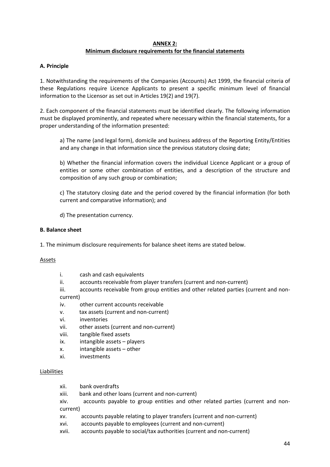#### **ANNEX 2: Minimum disclosure requirements for the financial statements**

## **A. Principle**

1. Notwithstanding the requirements of the Companies (Accounts) Act 1999, the financial criteria of these Regulations require Licence Applicants to present a specific minimum level of financial information to the Licensor as set out in Articles 19(2) and 19(7).

2. Each component of the financial statements must be identified clearly. The following information must be displayed prominently, and repeated where necessary within the financial statements, for a proper understanding of the information presented:

a) The name (and legal form), domicile and business address of the Reporting Entity/Entities and any change in that information since the previous statutory closing date;

b) Whether the financial information covers the individual Licence Applicant or a group of entities or some other combination of entities, and a description of the structure and composition of any such group or combination;

c) The statutory closing date and the period covered by the financial information (for both current and comparative information); and

d) The presentation currency.

## **B. Balance sheet**

1. The minimum disclosure requirements for balance sheet items are stated below.

## Assets

- i. cash and cash equivalents
- ii. accounts receivable from player transfers (current and non-current)
- iii. accounts receivable from group entities and other related parties (current and noncurrent)
- iv. other current accounts receivable
- v. tax assets (current and non-current)
- vi. inventories
- vii. other assets (current and non-current)
- viii. tangible fixed assets
- ix. intangible assets players
- x. intangible assets other
- xi. investments

#### Liabilities

- xii. bank overdrafts
- xiii. bank and other loans (current and non-current)

xiv. accounts payable to group entities and other related parties (current and noncurrent)

- xv. accounts payable relating to player transfers (current and non-current)
- xvi. accounts payable to employees (current and non-current)
- xvii. accounts payable to social/tax authorities (current and non-current)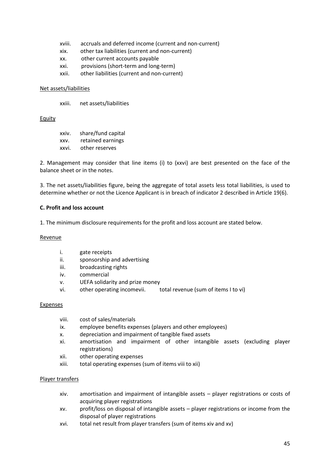- xviii. accruals and deferred income (current and non-current)
- xix. other tax liabilities (current and non-current)
- xx. other current accounts payable
- xxi. provisions (short-term and long-term)
- xxii. other liabilities (current and non-current)

#### Net assets/liabilities

xxiii. net assets/liabilities

## **Equity**

xxiv. share/fund capital xxv. retained earnings xxvi. other reserves

2. Management may consider that line items (i) to (xxvi) are best presented on the face of the balance sheet or in the notes.

3. The net assets/liabilities figure, being the aggregate of total assets less total liabilities, is used to determine whether or not the Licence Applicant is in breach of indicator 2 described in Article 19(6).

#### **C. Profit and loss account**

1. The minimum disclosure requirements for the profit and loss account are stated below.

#### **Revenue**

- i. gate receipts
- ii. sponsorship and advertising
- iii. broadcasting rights
- iv. commercial
- v. UEFA solidarity and prize money
- vi. other operating incomevii. total revenue (sum of items I to vi)

#### Expenses

- viii. cost of sales/materials
- ix. employee benefits expenses (players and other employees)
- x. depreciation and impairment of tangible fixed assets
- xi. amortisation and impairment of other intangible assets (excluding player registrations)
- xii. other operating expenses
- xiii. total operating expenses (sum of items viii to xii)

#### Player transfers

- xiv. amortisation and impairment of intangible assets player registrations or costs of acquiring player registrations
- xv. profit/loss on disposal of intangible assets player registrations or income from the disposal of player registrations
- xvi. total net result from player transfers (sum of items xiv and xv)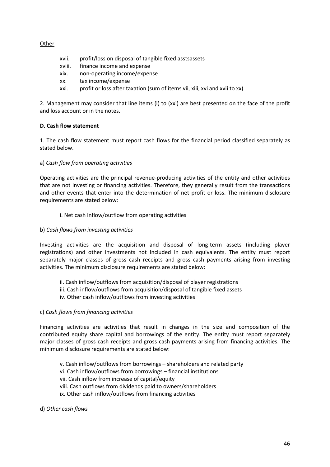## Other

- xvii. profit/loss on disposal of tangible fixed asstsassets
- xviii. finance income and expense
- xix. non-operating income/expense
- xx. tax income/expense
- xxi. profit or loss after taxation (sum of items vii, xiii, xvi and xvii to xx)

2. Management may consider that line items (i) to (xxi) are best presented on the face of the profit and loss account or in the notes.

## **D. Cash flow statement**

1. The cash flow statement must report cash flows for the financial period classified separately as stated below.

## a) *Cash flow from operating activities*

Operating activities are the principal revenue-producing activities of the entity and other activities that are not investing or financing activities. Therefore, they generally result from the transactions and other events that enter into the determination of net profit or loss. The minimum disclosure requirements are stated below:

## i. Net cash inflow/outflow from operating activities

## b) *Cash flows from investing activities*

Investing activities are the acquisition and disposal of long-term assets (including player registrations) and other investments not included in cash equivalents. The entity must report separately major classes of gross cash receipts and gross cash payments arising from investing activities. The minimum disclosure requirements are stated below:

- ii. Cash inflow/outflows from acquisition/disposal of player registrations
- iii. Cash inflow/outflows from acquisition/disposal of tangible fixed assets
- iv. Other cash inflow/outflows from investing activities

## c) *Cash flows from financing activities*

Financing activities are activities that result in changes in the size and composition of the contributed equity share capital and borrowings of the entity. The entity must report separately major classes of gross cash receipts and gross cash payments arising from financing activities. The minimum disclosure requirements are stated below:

- v. Cash inflow/outflows from borrowings shareholders and related party
- vi. Cash inflow/outflows from borrowings financial institutions
- vii. Cash inflow from increase of capital/equity
- viii. Cash outflows from dividends paid to owners/shareholders
- ix. Other cash inflow/outflows from financing activities

d) *Other cash flows*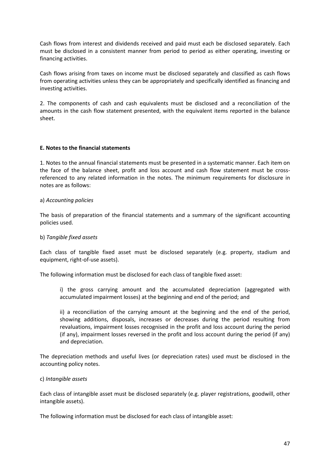Cash flows from interest and dividends received and paid must each be disclosed separately. Each must be disclosed in a consistent manner from period to period as either operating, investing or financing activities.

Cash flows arising from taxes on income must be disclosed separately and classified as cash flows from operating activities unless they can be appropriately and specifically identified as financing and investing activities.

2. The components of cash and cash equivalents must be disclosed and a reconciliation of the amounts in the cash flow statement presented, with the equivalent items reported in the balance sheet.

## **E. Notes to the financial statements**

1. Notes to the annual financial statements must be presented in a systematic manner. Each item on the face of the balance sheet, profit and loss account and cash flow statement must be crossreferenced to any related information in the notes. The minimum requirements for disclosure in notes are as follows:

#### a) *Accounting policies*

The basis of preparation of the financial statements and a summary of the significant accounting policies used.

#### b) *Tangible fixed assets*

Each class of tangible fixed asset must be disclosed separately (e.g. property, stadium and equipment, right-of-use assets).

The following information must be disclosed for each class of tangible fixed asset:

i) the gross carrying amount and the accumulated depreciation (aggregated with accumulated impairment losses) at the beginning and end of the period; and

ii) a reconciliation of the carrying amount at the beginning and the end of the period, showing additions, disposals, increases or decreases during the period resulting from revaluations, impairment losses recognised in the profit and loss account during the period (if any), impairment losses reversed in the profit and loss account during the period (if any) and depreciation.

The depreciation methods and useful lives (or depreciation rates) used must be disclosed in the accounting policy notes.

#### c) *Intangible assets*

Each class of intangible asset must be disclosed separately (e.g. player registrations, goodwill, other intangible assets).

The following information must be disclosed for each class of intangible asset: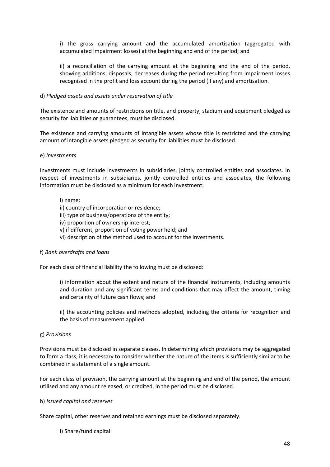i) the gross carrying amount and the accumulated amortisation (aggregated with accumulated impairment losses) at the beginning and end of the period; and

ii) a reconciliation of the carrying amount at the beginning and the end of the period, showing additions, disposals, decreases during the period resulting from impairment losses recognised in the profit and loss account during the period (if any) and amortisation.

#### d) *Pledged assets and assets under reservation of title*

The existence and amounts of restrictions on title, and property, stadium and equipment pledged as security for liabilities or guarantees, must be disclosed.

The existence and carrying amounts of intangible assets whose title is restricted and the carrying amount of intangible assets pledged as security for liabilities must be disclosed.

#### e) *Investments*

Investments must include investments in subsidiaries, jointly controlled entities and associates. In respect of investments in subsidiaries, jointly controlled entities and associates, the following information must be disclosed as a minimum for each investment:

#### i) name;

ii) country of incorporation or residence;

iii) type of business/operations of the entity;

iv) proportion of ownership interest;

v) if different, proportion of voting power held; and

vi) description of the method used to account for the investments.

#### f) *Bank overdrafts and loans*

For each class of financial liability the following must be disclosed:

i) information about the extent and nature of the financial instruments, including amounts and duration and any significant terms and conditions that may affect the amount, timing and certainty of future cash flows; and

ii) the accounting policies and methods adopted, including the criteria for recognition and the basis of measurement applied.

#### g) *Provisions*

Provisions must be disclosed in separate classes. In determining which provisions may be aggregated to form a class, it is necessary to consider whether the nature of the items is sufficiently similar to be combined in a statement of a single amount.

For each class of provision, the carrying amount at the beginning and end of the period, the amount utilised and any amount released, or credited, in the period must be disclosed.

#### h) *Issued capital and reserves*

Share capital, other reserves and retained earnings must be disclosed separately.

i) Share/fund capital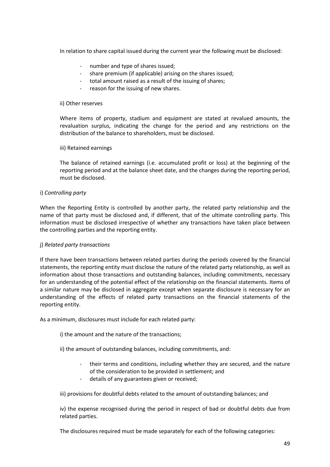In relation to share capital issued during the current year the following must be disclosed:

- number and type of shares issued;
- share premium (if applicable) arising on the shares issued;
- total amount raised as a result of the issuing of shares;
- reason for the issuing of new shares.

#### ii) Other reserves

Where items of property, stadium and equipment are stated at revalued amounts, the revaluation surplus, indicating the change for the period and any restrictions on the distribution of the balance to shareholders, must be disclosed.

#### iii) Retained earnings

The balance of retained earnings (i.e. accumulated profit or loss) at the beginning of the reporting period and at the balance sheet date, and the changes during the reporting period, must be disclosed.

#### i) *Controlling party*

When the Reporting Entity is controlled by another party, the related party relationship and the name of that party must be disclosed and, if different, that of the ultimate controlling party. This information must be disclosed irrespective of whether any transactions have taken place between the controlling parties and the reporting entity.

#### j) *Related party transactions*

If there have been transactions between related parties during the periods covered by the financial statements, the reporting entity must disclose the nature of the related party relationship, as well as information about those transactions and outstanding balances, including commitments, necessary for an understanding of the potential effect of the relationship on the financial statements. Items of a similar nature may be disclosed in aggregate except when separate disclosure is necessary for an understanding of the effects of related party transactions on the financial statements of the reporting entity.

As a minimum, disclosures must include for each related party:

- i) the amount and the nature of the transactions;
- ii) the amount of outstanding balances, including commitments, and:
	- their terms and conditions, including whether they are secured, and the nature of the consideration to be provided in settlement; and
	- details of any guarantees given or received;

iii) provisions for doubtful debts related to the amount of outstanding balances; and

iv) the expense recognised during the period in respect of bad or doubtful debts due from related parties.

The disclosures required must be made separately for each of the following categories: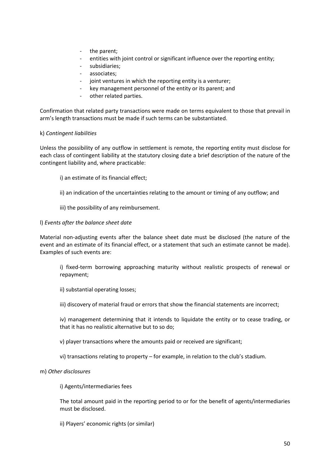- the parent;
- entities with joint control or significant influence over the reporting entity;
- subsidiaries;
- associates;
- joint ventures in which the reporting entity is a venturer;
- key management personnel of the entity or its parent; and
- other related parties.

Confirmation that related party transactions were made on terms equivalent to those that prevail in arm's length transactions must be made if such terms can be substantiated.

#### k) *Contingent liabilities*

Unless the possibility of any outflow in settlement is remote, the reporting entity must disclose for each class of contingent liability at the statutory closing date a brief description of the nature of the contingent liability and, where practicable:

- i) an estimate of its financial effect;
- ii) an indication of the uncertainties relating to the amount or timing of any outflow; and
- iii) the possibility of any reimbursement.
- l) *Events after the balance sheet date*

Material non-adjusting events after the balance sheet date must be disclosed (the nature of the event and an estimate of its financial effect, or a statement that such an estimate cannot be made). Examples of such events are:

i) fixed-term borrowing approaching maturity without realistic prospects of renewal or repayment;

- ii) substantial operating losses;
- iii) discovery of material fraud or errors that show the financial statements are incorrect;

iv) management determining that it intends to liquidate the entity or to cease trading, or that it has no realistic alternative but to so do;

- v) player transactions where the amounts paid or received are significant;
- vi) transactions relating to property for example, in relation to the club's stadium.
- m) *Other disclosures*
	- i) Agents/intermediaries fees

The total amount paid in the reporting period to or for the benefit of agents/intermediaries must be disclosed.

ii) Players' economic rights (or similar)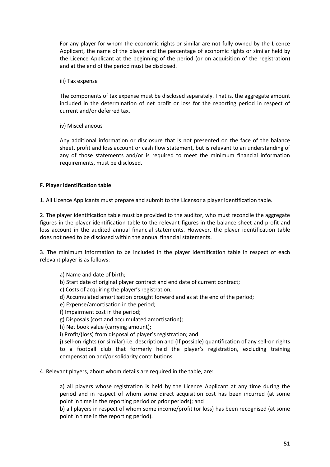For any player for whom the economic rights or similar are not fully owned by the Licence Applicant, the name of the player and the percentage of economic rights or similar held by the Licence Applicant at the beginning of the period (or on acquisition of the registration) and at the end of the period must be disclosed.

#### iii) Tax expense

The components of tax expense must be disclosed separately. That is, the aggregate amount included in the determination of net profit or loss for the reporting period in respect of current and/or deferred tax.

#### iv) Miscellaneous

Any additional information or disclosure that is not presented on the face of the balance sheet, profit and loss account or cash flow statement, but is relevant to an understanding of any of those statements and/or is required to meet the minimum financial information requirements, must be disclosed.

#### **F. Player identification table**

1. All Licence Applicants must prepare and submit to the Licensor a player identification table.

2. The player identification table must be provided to the auditor, who must reconcile the aggregate figures in the player identification table to the relevant figures in the balance sheet and profit and loss account in the audited annual financial statements. However, the player identification table does not need to be disclosed within the annual financial statements.

3. The minimum information to be included in the player identification table in respect of each relevant player is as follows:

a) Name and date of birth;

b) Start date of original player contract and end date of current contract;

- c) Costs of acquiring the player's registration;
- d) Accumulated amortisation brought forward and as at the end of the period;

e) Expense/amortisation in the period;

f) Impairment cost in the period;

g) Disposals (cost and accumulated amortisation);

h) Net book value (carrying amount);

i) Profit/(loss) from disposal of player's registration; and

j) sell-on rights (or similar) i.e. description and (If possible) quantification of any sell-on rights to a football club that formerly held the player's registration, excluding training compensation and/or solidarity contributions

4. Relevant players, about whom details are required in the table, are:

a) all players whose registration is held by the Licence Applicant at any time during the period and in respect of whom some direct acquisition cost has been incurred (at some point in time in the reporting period or prior periods); and

b) all players in respect of whom some income/profit (or loss) has been recognised (at some point in time in the reporting period).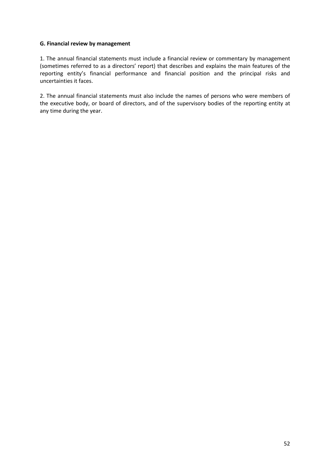#### **G. Financial review by management**

1. The annual financial statements must include a financial review or commentary by management (sometimes referred to as a directors' report) that describes and explains the main features of the reporting entity's financial performance and financial position and the principal risks and uncertainties it faces.

2. The annual financial statements must also include the names of persons who were members of the executive body, or board of directors, and of the supervisory bodies of the reporting entity at any time during the year.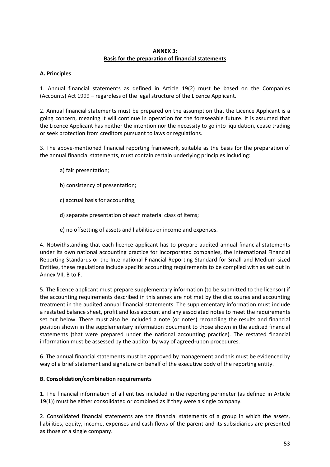## **ANNEX 3: Basis for the preparation of financial statements**

## **A. Principles**

1. Annual financial statements as defined in Article 19(2) must be based on the Companies (Accounts) Act 1999 – regardless of the legal structure of the Licence Applicant.

2. Annual financial statements must be prepared on the assumption that the Licence Applicant is a going concern, meaning it will continue in operation for the foreseeable future. It is assumed that the Licence Applicant has neither the intention nor the necessity to go into liquidation, cease trading or seek protection from creditors pursuant to laws or regulations.

3. The above-mentioned financial reporting framework, suitable as the basis for the preparation of the annual financial statements, must contain certain underlying principles including:

- a) fair presentation;
- b) consistency of presentation;
- c) accrual basis for accounting;
- d) separate presentation of each material class of items;
- e) no offsetting of assets and liabilities or income and expenses.

4. Notwithstanding that each licence applicant has to prepare audited annual financial statements under its own national accounting practice for incorporated companies, the International Financial Reporting Standards or the International Financial Reporting Standard for Small and Medium-sized Entities, these regulations include specific accounting requirements to be complied with as set out in Annex VII, B to F.

5. The licence applicant must prepare supplementary information (to be submitted to the licensor) if the accounting requirements described in this annex are not met by the disclosures and accounting treatment in the audited annual financial statements. The supplementary information must include a restated balance sheet, profit and loss account and any associated notes to meet the requirements set out below. There must also be included a note (or notes) reconciling the results and financial position shown in the supplementary information document to those shown in the audited financial statements (that were prepared under the national accounting practice). The restated financial information must be assessed by the auditor by way of agreed-upon procedures.

6. The annual financial statements must be approved by management and this must be evidenced by way of a brief statement and signature on behalf of the executive body of the reporting entity.

## **B. Consolidation/combination requirements**

1. The financial information of all entities included in the reporting perimeter (as defined in Article 19(1)) must be either consolidated or combined as if they were a single company.

2. Consolidated financial statements are the financial statements of a group in which the assets, liabilities, equity, income, expenses and cash flows of the parent and its subsidiaries are presented as those of a single company.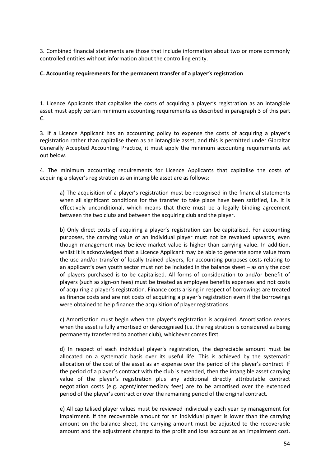3. Combined financial statements are those that include information about two or more commonly controlled entities without information about the controlling entity.

## **C. Accounting requirements for the permanent transfer of a player's registration**

1. Licence Applicants that capitalise the costs of acquiring a player's registration as an intangible asset must apply certain minimum accounting requirements as described in paragraph 3 of this part C.

3. If a Licence Applicant has an accounting policy to expense the costs of acquiring a player's registration rather than capitalise them as an intangible asset, and this is permitted under Gibraltar Generally Accepted Accounting Practice, it must apply the minimum accounting requirements set out below.

4. The minimum accounting requirements for Licence Applicants that capitalise the costs of acquiring a player's registration as an intangible asset are as follows:

a) The acquisition of a player's registration must be recognised in the financial statements when all significant conditions for the transfer to take place have been satisfied, i.e. it is effectively unconditional, which means that there must be a legally binding agreement between the two clubs and between the acquiring club and the player.

b) Only direct costs of acquiring a player's registration can be capitalised. For accounting purposes, the carrying value of an individual player must not be revalued upwards, even though management may believe market value is higher than carrying value. In addition, whilst it is acknowledged that a Licence Applicant may be able to generate some value from the use and/or transfer of locally trained players, for accounting purposes costs relating to an applicant's own youth sector must not be included in the balance sheet – as only the cost of players purchased is to be capitalised. All forms of consideration to and/or benefit of players (such as sign-on fees) must be treated as employee benefits expenses and not costs of acquiring a player's registration. Finance costs arising in respect of borrowings are treated as finance costs and are not costs of acquiring a player's registration even if the borrowings were obtained to help finance the acquisition of player registrations.

c) Amortisation must begin when the player's registration is acquired. Amortisation ceases when the asset is fully amortised or derecognised (i.e. the registration is considered as being permanenty transferred to another club), whichever comes first.

d) In respect of each individual player's registration, the depreciable amount must be allocated on a systematic basis over its useful life. This is achieved by the systematic allocation of the cost of the asset as an expense over the period of the player's contract. If the period of a player's contract with the club is extended, then the intangible asset carrying value of the player's registration plus any additional directly attributable contract negotiation costs (e.g. agent/intermediary fees) are to be amortised over the extended period of the player's contract or over the remaining period of the original contract.

e) All capitalised player values must be reviewed individually each year by management for impairment. If the recoverable amount for an individual player is lower than the carrying amount on the balance sheet, the carrying amount must be adjusted to the recoverable amount and the adjustment charged to the profit and loss account as an impairment cost.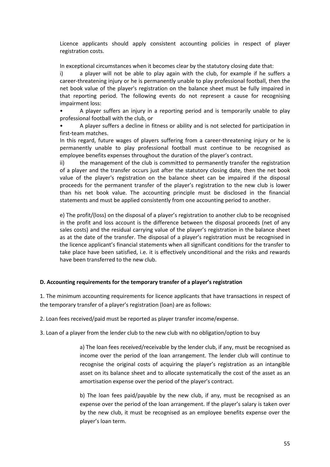Licence applicants should apply consistent accounting policies in respect of player registration costs.

In exceptional circumstances when it becomes clear by the statutory closing date that:

i) a player will not be able to play again with the club, for example if he suffers a career-threatening injury or he is permanently unable to play professional football, then the net book value of the player's registration on the balance sheet must be fully impaired in that reporting period. The following events do not represent a cause for recognising impairment loss:

• A player suffers an injury in a reporting period and is temporarily unable to play professional football with the club, or

• A player suffers a decline in fitness or ability and is not selected for participation in first-team matches.

In this regard, future wages of players suffering from a career-threatening injury or he is permanently unable to play professional football must continue to be recognised as employee benefits expenses throughout the duration of the player's contract.

ii) the management of the club is committed to permanently transfer the registration of a player and the transfer occurs just after the statutory closing date, then the net book value of the player's registration on the balance sheet can be impaired if the disposal proceeds for the permanent transfer of the player's registration to the new club is lower than his net book value. The accounting principle must be disclosed in the financial statements and must be applied consistently from one accounting period to another.

e) The profit/(loss) on the disposal of a player's registration to another club to be recognised in the profit and loss account is the difference between the disposal proceeds (net of any sales costs) and the residual carrying value of the player's registration in the balance sheet as at the date of the transfer. The disposal of a player's registration must be recognised in the licence applicant's financial statements when all significant conditions for the transfer to take place have been satisfied, i.e. it is effectively unconditional and the risks and rewards have been transferred to the new club.

## **D. Accounting requirements for the temporary transfer of a player's registration**

1. The minimum accounting requirements for licence applicants that have transactions in respect of the temporary transfer of a player's registration (loan) are as follows:

2. Loan fees received/paid must be reported as player transfer income/expense.

3. Loan of a player from the lender club to the new club with no obligation/option to buy

a) The loan fees received/receivable by the lender club, if any, must be recognised as income over the period of the loan arrangement. The lender club will continue to recognise the original costs of acquiring the player's registration as an intangible asset on its balance sheet and to allocate systematically the cost of the asset as an amortisation expense over the period of the player's contract.

b) The loan fees paid/payable by the new club, if any, must be recognised as an expense over the period of the loan arrangement. If the player's salary is taken over by the new club, it must be recognised as an employee benefits expense over the player's loan term.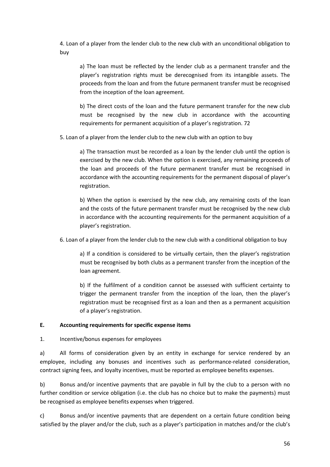4. Loan of a player from the lender club to the new club with an unconditional obligation to buy

a) The loan must be reflected by the lender club as a permanent transfer and the player's registration rights must be derecognised from its intangible assets. The proceeds from the loan and from the future permanent transfer must be recognised from the inception of the loan agreement.

b) The direct costs of the loan and the future permanent transfer for the new club must be recognised by the new club in accordance with the accounting requirements for permanent acquisition of a player's registration. 72

5. Loan of a player from the lender club to the new club with an option to buy

a) The transaction must be recorded as a loan by the lender club until the option is exercised by the new club. When the option is exercised, any remaining proceeds of the loan and proceeds of the future permanent transfer must be recognised in accordance with the accounting requirements for the permanent disposal of player's registration.

b) When the option is exercised by the new club, any remaining costs of the loan and the costs of the future permanent transfer must be recognised by the new club in accordance with the accounting requirements for the permanent acquisition of a player's registration.

6. Loan of a player from the lender club to the new club with a conditional obligation to buy

a) If a condition is considered to be virtually certain, then the player's registration must be recognised by both clubs as a permanent transfer from the inception of the loan agreement.

b) If the fulfilment of a condition cannot be assessed with sufficient certainty to trigger the permanent transfer from the inception of the loan, then the player's registration must be recognised first as a loan and then as a permanent acquisition of a player's registration.

## **E. Accounting requirements for specific expense items**

## 1. Incentive/bonus expenses for employees

a) All forms of consideration given by an entity in exchange for service rendered by an employee, including any bonuses and incentives such as performance-related consideration, contract signing fees, and loyalty incentives, must be reported as employee benefits expenses.

b) Bonus and/or incentive payments that are payable in full by the club to a person with no further condition or service obligation (i.e. the club has no choice but to make the payments) must be recognised as employee benefits expenses when triggered.

c) Bonus and/or incentive payments that are dependent on a certain future condition being satisfied by the player and/or the club, such as a player's participation in matches and/or the club's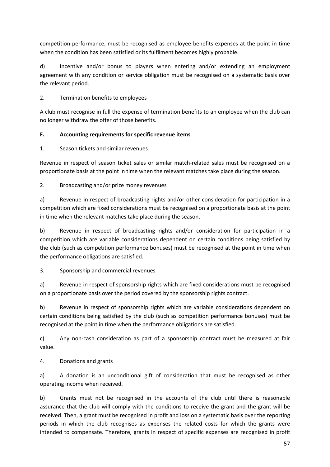competition performance, must be recognised as employee benefits expenses at the point in time when the condition has been satisfied or its fulfilment becomes highly probable.

d) Incentive and/or bonus to players when entering and/or extending an employment agreement with any condition or service obligation must be recognised on a systematic basis over the relevant period.

## 2. Termination benefits to employees

A club must recognise in full the expense of termination benefits to an employee when the club can no longer withdraw the offer of those benefits.

## **F. Accounting requirements for specific revenue items**

## 1. Season tickets and similar revenues

Revenue in respect of season ticket sales or similar match-related sales must be recognised on a proportionate basis at the point in time when the relevant matches take place during the season.

## 2. Broadcasting and/or prize money revenues

a) Revenue in respect of broadcasting rights and/or other consideration for participation in a competition which are fixed considerations must be recognised on a proportionate basis at the point in time when the relevant matches take place during the season.

b) Revenue in respect of broadcasting rights and/or consideration for participation in a competition which are variable considerations dependent on certain conditions being satisfied by the club (such as competition performance bonuses) must be recognised at the point in time when the performance obligations are satisfied.

## 3. Sponsorship and commercial revenues

a) Revenue in respect of sponsorship rights which are fixed considerations must be recognised on a proportionate basis over the period covered by the sponsorship rights contract.

b) Revenue in respect of sponsorship rights which are variable considerations dependent on certain conditions being satisfied by the club (such as competition performance bonuses) must be recognised at the point in time when the performance obligations are satisfied.

c) Any non-cash consideration as part of a sponsorship contract must be measured at fair value.

## 4. Donations and grants

a) A donation is an unconditional gift of consideration that must be recognised as other operating income when received.

b) Grants must not be recognised in the accounts of the club until there is reasonable assurance that the club will comply with the conditions to receive the grant and the grant will be received. Then, a grant must be recognised in profit and loss on a systematic basis over the reporting periods in which the club recognises as expenses the related costs for which the grants were intended to compensate. Therefore, grants in respect of specific expenses are recognised in profit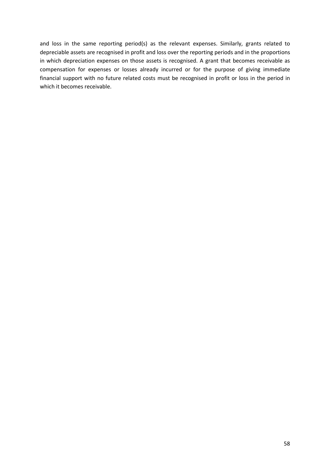and loss in the same reporting period(s) as the relevant expenses. Similarly, grants related to depreciable assets are recognised in profit and loss over the reporting periods and in the proportions in which depreciation expenses on those assets is recognised. A grant that becomes receivable as compensation for expenses or losses already incurred or for the purpose of giving immediate financial support with no future related costs must be recognised in profit or loss in the period in which it becomes receivable.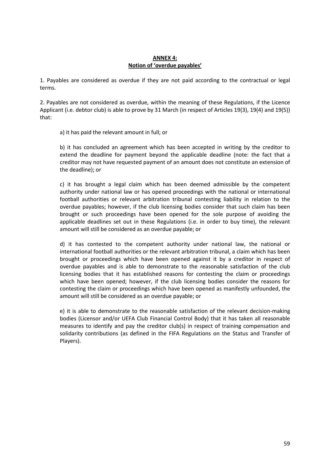## **ANNEX 4: Notion of 'overdue payables'**

1. Payables are considered as overdue if they are not paid according to the contractual or legal terms.

2. Payables are not considered as overdue, within the meaning of these Regulations, if the Licence Applicant (i.e. debtor club) is able to prove by 31 March (in respect of Articles 19(3), 19(4) and 19(5)) that:

a) it has paid the relevant amount in full; or

b) it has concluded an agreement which has been accepted in writing by the creditor to extend the deadline for payment beyond the applicable deadline (note: the fact that a creditor may not have requested payment of an amount does not constitute an extension of the deadline); or

c) it has brought a legal claim which has been deemed admissible by the competent authority under national law or has opened proceedings with the national or international football authorities or relevant arbitration tribunal contesting liability in relation to the overdue payables; however, if the club licensing bodies consider that such claim has been brought or such proceedings have been opened for the sole purpose of avoiding the applicable deadlines set out in these Regulations (i.e. in order to buy time), the relevant amount will still be considered as an overdue payable; or

d) it has contested to the competent authority under national law, the national or international football authorities or the relevant arbitration tribunal, a claim which has been brought or proceedings which have been opened against it by a creditor in respect of overdue payables and is able to demonstrate to the reasonable satisfaction of the club licensing bodies that it has established reasons for contesting the claim or proceedings which have been opened; however, if the club licensing bodies consider the reasons for contesting the claim or proceedings which have been opened as manifestly unfounded, the amount will still be considered as an overdue payable; or

e) it is able to demonstrate to the reasonable satisfaction of the relevant decision-making bodies (Licensor and/or UEFA Club Financial Control Body) that it has taken all reasonable measures to identify and pay the creditor club(s) in respect of training compensation and solidarity contributions (as defined in the FIFA Regulations on the Status and Transfer of Players).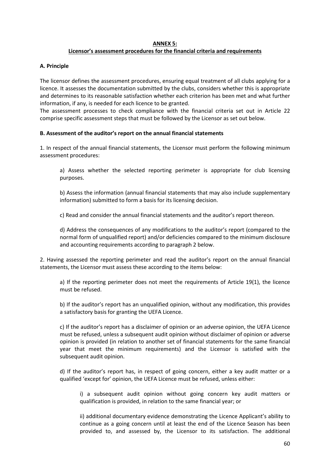#### **ANNEX 5:**

## **Licensor's assessment procedures for the financial criteria and requirements**

## **A. Principle**

The licensor defines the assessment procedures, ensuring equal treatment of all clubs applying for a licence. It assesses the documentation submitted by the clubs, considers whether this is appropriate and determines to its reasonable satisfaction whether each criterion has been met and what further information, if any, is needed for each licence to be granted.

The assessment processes to check compliance with the financial criteria set out in Article 22 comprise specific assessment steps that must be followed by the Licensor as set out below.

## **B. Assessment of the auditor's report on the annual financial statements**

1. In respect of the annual financial statements, the Licensor must perform the following minimum assessment procedures:

a) Assess whether the selected reporting perimeter is appropriate for club licensing purposes.

b) Assess the information (annual financial statements that may also include supplementary information) submitted to form a basis for its licensing decision.

c) Read and consider the annual financial statements and the auditor's report thereon.

d) Address the consequences of any modifications to the auditor's report (compared to the normal form of unqualified report) and/or deficiencies compared to the minimum disclosure and accounting requirements according to paragraph 2 below.

2. Having assessed the reporting perimeter and read the auditor's report on the annual financial statements, the Licensor must assess these according to the items below:

a) If the reporting perimeter does not meet the requirements of Article 19(1), the licence must be refused.

b) If the auditor's report has an unqualified opinion, without any modification, this provides a satisfactory basis for granting the UEFA Licence.

c) If the auditor's report has a disclaimer of opinion or an adverse opinion, the UEFA Licence must be refused, unless a subsequent audit opinion without disclaimer of opinion or adverse opinion is provided (in relation to another set of financial statements for the same financial year that meet the minimum requirements) and the Licensor is satisfied with the subsequent audit opinion.

d) If the auditor's report has, in respect of going concern, either a key audit matter or a qualified 'except for' opinion, the UEFA Licence must be refused, unless either:

i) a subsequent audit opinion without going concern key audit matters or qualification is provided, in relation to the same financial year; or

ii) additional documentary evidence demonstrating the Licence Applicant's ability to continue as a going concern until at least the end of the Licence Season has been provided to, and assessed by, the Licensor to its satisfaction. The additional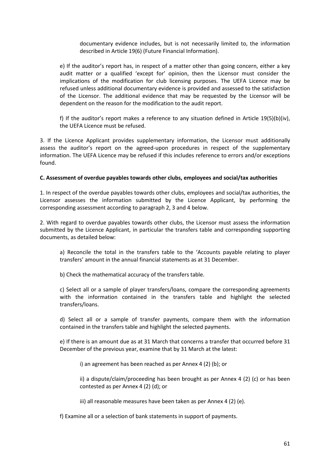documentary evidence includes, but is not necessarily limited to, the information described in Article 19(6) (Future Financial Information).

e) If the auditor's report has, in respect of a matter other than going concern, either a key audit matter or a qualified 'except for' opinion, then the Licensor must consider the implications of the modification for club licensing purposes. The UEFA Licence may be refused unless additional documentary evidence is provided and assessed to the satisfaction of the Licensor. The additional evidence that may be requested by the Licensor will be dependent on the reason for the modification to the audit report.

f) If the auditor's report makes a reference to any situation defined in Article  $19(5)(b)(iv)$ , the UEFA Licence must be refused.

3. If the Licence Applicant provides supplementary information, the Licensor must additionally assess the auditor's report on the agreed-upon procedures in respect of the supplementary information. The UEFA Licence may be refused if this includes reference to errors and/or exceptions found.

#### **C. Assessment of overdue payables towards other clubs, employees and social/tax authorities**

1. In respect of the overdue payables towards other clubs, employees and social/tax authorities, the Licensor assesses the information submitted by the Licence Applicant, by performing the corresponding assessment according to paragraph 2, 3 and 4 below.

2. With regard to overdue payables towards other clubs, the Licensor must assess the information submitted by the Licence Applicant, in particular the transfers table and corresponding supporting documents, as detailed below:

a) Reconcile the total in the transfers table to the 'Accounts payable relating to player transfers' amount in the annual financial statements as at 31 December.

b) Check the mathematical accuracy of the transfers table.

c) Select all or a sample of player transfers/loans, compare the corresponding agreements with the information contained in the transfers table and highlight the selected transfers/loans.

d) Select all or a sample of transfer payments, compare them with the information contained in the transfers table and highlight the selected payments.

e) If there is an amount due as at 31 March that concerns a transfer that occurred before 31 December of the previous year, examine that by 31 March at the latest:

i) an agreement has been reached as per Annex 4 (2) (b); or

ii) a dispute/claim/proceeding has been brought as per Annex 4 (2) (c) or has been contested as per Annex 4 (2) (d); or

iii) all reasonable measures have been taken as per Annex 4 (2) (e).

f) Examine all or a selection of bank statements in support of payments.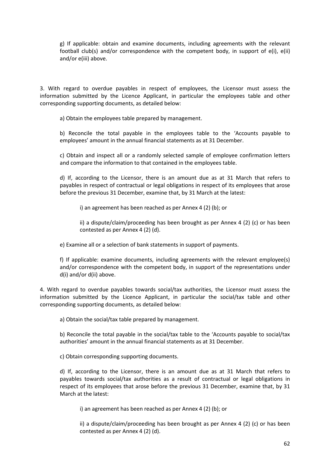g) If applicable: obtain and examine documents, including agreements with the relevant football club(s) and/or correspondence with the competent body, in support of e(i), e(ii) and/or e(iii) above.

3. With regard to overdue payables in respect of employees, the Licensor must assess the information submitted by the Licence Applicant, in particular the employees table and other corresponding supporting documents, as detailed below:

a) Obtain the employees table prepared by management.

b) Reconcile the total payable in the employees table to the 'Accounts payable to employees' amount in the annual financial statements as at 31 December.

c) Obtain and inspect all or a randomly selected sample of employee confirmation letters and compare the information to that contained in the employees table.

d) If, according to the Licensor, there is an amount due as at 31 March that refers to payables in respect of contractual or legal obligations in respect of its employees that arose before the previous 31 December, examine that, by 31 March at the latest:

i) an agreement has been reached as per Annex 4 (2) (b); or

ii) a dispute/claim/proceeding has been brought as per Annex 4 (2) (c) or has been contested as per Annex 4 (2) (d).

e) Examine all or a selection of bank statements in support of payments.

f) If applicable: examine documents, including agreements with the relevant employee(s) and/or correspondence with the competent body, in support of the representations under d(i) and/or d(ii) above.

4. With regard to overdue payables towards social/tax authorities, the Licensor must assess the information submitted by the Licence Applicant, in particular the social/tax table and other corresponding supporting documents, as detailed below:

a) Obtain the social/tax table prepared by management.

b) Reconcile the total payable in the social/tax table to the 'Accounts payable to social/tax authorities' amount in the annual financial statements as at 31 December.

c) Obtain corresponding supporting documents.

d) If, according to the Licensor, there is an amount due as at 31 March that refers to payables towards social/tax authorities as a result of contractual or legal obligations in respect of its employees that arose before the previous 31 December, examine that, by 31 March at the latest:

i) an agreement has been reached as per Annex 4 (2) (b); or

ii) a dispute/claim/proceeding has been brought as per Annex 4 (2) (c) or has been contested as per Annex 4 (2) (d).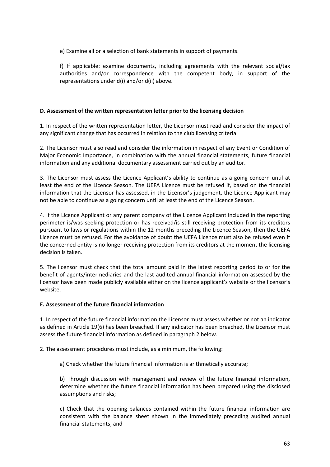e) Examine all or a selection of bank statements in support of payments.

f) If applicable: examine documents, including agreements with the relevant social/tax authorities and/or correspondence with the competent body, in support of the representations under d(i) and/or d(ii) above.

## **D. Assessment of the written representation letter prior to the licensing decision**

1. In respect of the written representation letter, the Licensor must read and consider the impact of any significant change that has occurred in relation to the club licensing criteria.

2. The Licensor must also read and consider the information in respect of any Event or Condition of Major Economic Importance, in combination with the annual financial statements, future financial information and any additional documentary assessment carried out by an auditor.

3. The Licensor must assess the Licence Applicant's ability to continue as a going concern until at least the end of the Licence Season. The UEFA Licence must be refused if, based on the financial information that the Licensor has assessed, in the Licensor's judgement, the Licence Applicant may not be able to continue as a going concern until at least the end of the Licence Season.

4. If the Licence Applicant or any parent company of the Licence Applicant included in the reporting perimeter is/was seeking protection or has received/is still receiving protection from its creditors pursuant to laws or regulations within the 12 months preceding the Licence Season, then the UEFA Licence must be refused. For the avoidance of doubt the UEFA Licence must also be refused even if the concerned entity is no longer receiving protection from its creditors at the moment the licensing decision is taken.

5. The licensor must check that the total amount paid in the latest reporting period to or for the benefit of agents/intermediaries and the last audited annual financial information assessed by the licensor have been made publicly available either on the licence applicant's website or the licensor's website.

#### **E. Assessment of the future financial information**

1. In respect of the future financial information the Licensor must assess whether or not an indicator as defined in Article 19(6) has been breached. If any indicator has been breached, the Licensor must assess the future financial information as defined in paragraph 2 below.

2. The assessment procedures must include, as a minimum, the following:

a) Check whether the future financial information is arithmetically accurate;

b) Through discussion with management and review of the future financial information, determine whether the future financial information has been prepared using the disclosed assumptions and risks;

c) Check that the opening balances contained within the future financial information are consistent with the balance sheet shown in the immediately preceding audited annual financial statements; and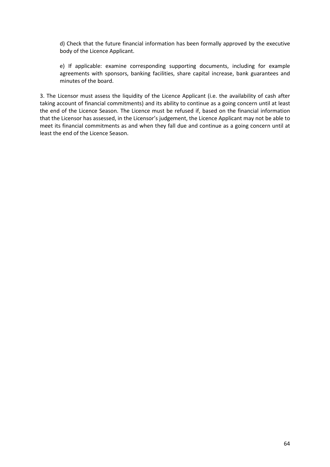d) Check that the future financial information has been formally approved by the executive body of the Licence Applicant.

e) If applicable: examine corresponding supporting documents, including for example agreements with sponsors, banking facilities, share capital increase, bank guarantees and minutes of the board.

3. The Licensor must assess the liquidity of the Licence Applicant (i.e. the availability of cash after taking account of financial commitments) and its ability to continue as a going concern until at least the end of the Licence Season. The Licence must be refused if, based on the financial information that the Licensor has assessed, in the Licensor's judgement, the Licence Applicant may not be able to meet its financial commitments as and when they fall due and continue as a going concern until at least the end of the Licence Season.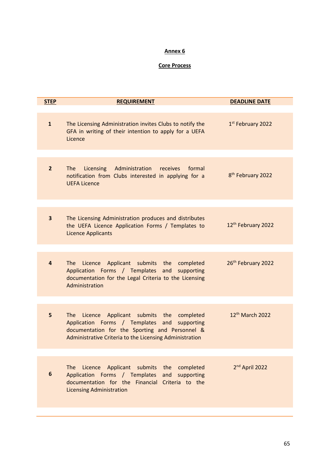#### **Annex 6**

#### **Core Process**

| <b>STEP</b>             | <b>REQUIREMENT</b>                                                                                                                                                                                          | <b>DEADLINE DATE</b>           |
|-------------------------|-------------------------------------------------------------------------------------------------------------------------------------------------------------------------------------------------------------|--------------------------------|
| $\mathbf{1}$            | The Licensing Administration invites Clubs to notify the<br>GFA in writing of their intention to apply for a UEFA<br>Licence                                                                                | 1st February 2022              |
| 2 <sup>2</sup>          | Licensing<br>Administration<br>receives formal<br>The<br>notification from Clubs interested in applying for a<br><b>UEFA Licence</b>                                                                        | 8 <sup>th</sup> February 2022  |
| $\overline{\mathbf{3}}$ | The Licensing Administration produces and distributes<br>the UEFA Licence Application Forms / Templates to<br><b>Licence Applicants</b>                                                                     | 12 <sup>th</sup> February 2022 |
| 4                       | Licence Applicant submits the completed<br>The<br>Application Forms / Templates and<br>supporting<br>documentation for the Legal Criteria to the Licensing<br>Administration                                | 26 <sup>th</sup> February 2022 |
| 5                       | Licence Applicant submits the completed<br>The<br>Application Forms / Templates and supporting<br>documentation for the Sporting and Personnel &<br>Administrative Criteria to the Licensing Administration | 12 <sup>th</sup> March 2022    |
| 6                       | Licence Applicant<br>submits<br>the completed<br>The<br>Application Forms / Templates and supporting<br>documentation for the Financial Criteria to the<br><b>Licensing Administration</b>                  | 2 <sup>nd</sup> April 2022     |
|                         |                                                                                                                                                                                                             |                                |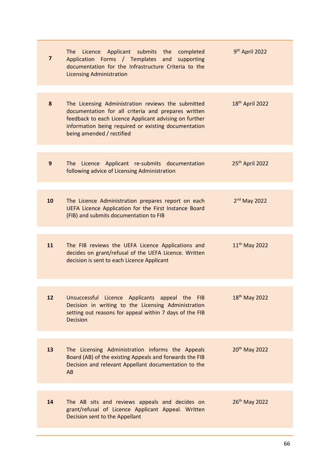| $\overline{\mathbf{z}}$ | The Licence Applicant submits the completed<br>Application Forms / Templates and supporting<br>documentation for the Infrastructure Criteria to the<br><b>Licensing Administration</b>                                                                   | 9 <sup>th</sup> April 2022  |
|-------------------------|----------------------------------------------------------------------------------------------------------------------------------------------------------------------------------------------------------------------------------------------------------|-----------------------------|
| 8                       | The Licensing Administration reviews the submitted<br>documentation for all criteria and prepares written<br>feedback to each Licence Applicant advising on further<br>information being required or existing documentation<br>being amended / rectified | 18 <sup>th</sup> April 2022 |
| 9                       | The Licence Applicant re-submits documentation<br>following advice of Licensing Administration                                                                                                                                                           | 25 <sup>th</sup> April 2022 |
| 10                      | The Licence Administration prepares report on each<br>UEFA Licence Application for the First Instance Board<br>(FIB) and submits documentation to FIB                                                                                                    | $2nd$ May 2022              |
| 11                      | The FIB reviews the UEFA Licence Applications and<br>decides on grant/refusal of the UEFA Licence. Written<br>decision is sent to each Licence Applicant                                                                                                 | 11 <sup>th</sup> May 2022   |
| 12                      | Unsuccessful Licence Applicants appeal the FIB<br>Decision in writing to the Licensing Administration<br>setting out reasons for appeal within 7 days of the FIB<br><b>Decision</b>                                                                      | 18 <sup>th</sup> May 2022   |
| 13                      | The Licensing Administration informs the Appeals<br>Board (AB) of the existing Appeals and forwards the FIB<br>Decision and relevant Appellant documentation to the<br>AB                                                                                | 20 <sup>th</sup> May 2022   |
| 14                      | The AB sits and reviews appeals and decides on<br>grant/refusal of Licence Applicant Appeal. Written<br>Decision sent to the Appellant                                                                                                                   | 26th May 2022               |